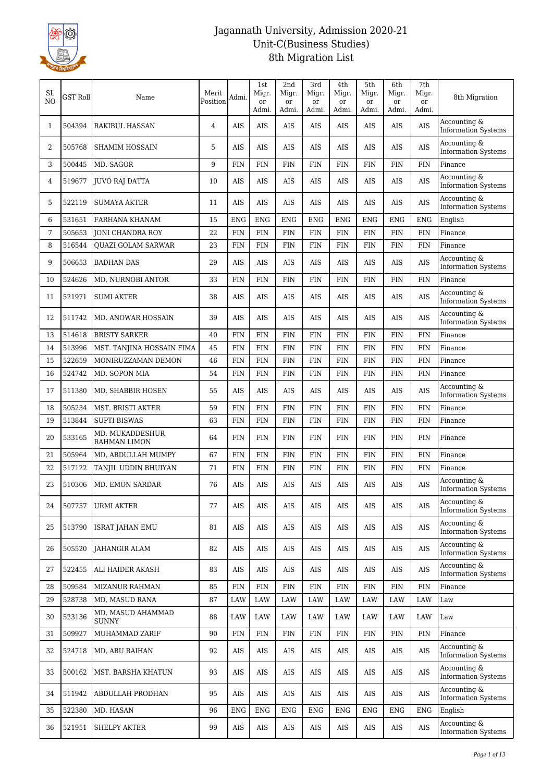

| SL<br>N <sub>O</sub> | GST Roll | Name                                   | Merit<br>Position | Admi.       | 1st<br>Migr.<br>or | 2nd<br>Migr.<br>or | 3rd<br>Migr.<br>or | 4th<br>Migr.<br>or | 5th<br>Migr.<br>or | 6th<br>Migr.<br>or | 7th<br>Migr.<br>or | 8th Migration                              |
|----------------------|----------|----------------------------------------|-------------------|-------------|--------------------|--------------------|--------------------|--------------------|--------------------|--------------------|--------------------|--------------------------------------------|
|                      |          |                                        |                   |             | Admi.              | Admi.              | Admi.              | Admi.              | Admi.              | Admi.              | Admi.              | Accounting &                               |
| 1                    | 504394   | <b>RAKIBUL HASSAN</b>                  | 4                 | AIS         | <b>AIS</b>         | <b>AIS</b>         | <b>AIS</b>         | AIS                | <b>AIS</b>         | AIS                | <b>AIS</b>         | <b>Information Systems</b>                 |
| 2                    | 505768   | SHAMIM HOSSAIN                         | 5                 | <b>AIS</b>  | <b>AIS</b>         | AIS                | AIS                | AIS                | AIS                | AIS                | <b>AIS</b>         | Accounting &<br><b>Information Systems</b> |
| 3                    | 500445   | MD. SAGOR                              | 9                 | <b>FIN</b>  | <b>FIN</b>         | <b>FIN</b>         | <b>FIN</b>         | <b>FIN</b>         | <b>FIN</b>         | <b>FIN</b>         | <b>FIN</b>         | Finance                                    |
| 4                    | 519677   | <b>JUVO RAJ DATTA</b>                  | 10                | <b>AIS</b>  | <b>AIS</b>         | AIS                | AIS                | AIS                | AIS                | AIS                | <b>AIS</b>         | Accounting &<br><b>Information Systems</b> |
| 5                    | 522119   | <b>SUMAYA AKTER</b>                    | 11                | <b>AIS</b>  | <b>AIS</b>         | <b>AIS</b>         | <b>AIS</b>         | AIS                | AIS                | <b>AIS</b>         | <b>AIS</b>         | Accounting &<br><b>Information Systems</b> |
| 6                    | 531651   | FARHANA KHANAM                         | 15                | <b>ENG</b>  | <b>ENG</b>         | <b>ENG</b>         | <b>ENG</b>         | <b>ENG</b>         | <b>ENG</b>         | <b>ENG</b>         | <b>ENG</b>         | English                                    |
| 7                    | 505653   | <b>JONI CHANDRA ROY</b>                | 22                | <b>FIN</b>  | <b>FIN</b>         | <b>FIN</b>         | <b>FIN</b>         | <b>FIN</b>         | <b>FIN</b>         | FIN                | <b>FIN</b>         | Finance                                    |
| 8                    | 516544   | <b>OUAZI GOLAM SARWAR</b>              | 23                | <b>FIN</b>  | ${\rm FIN}$        | <b>FIN</b>         | <b>FIN</b>         | <b>FIN</b>         | <b>FIN</b>         | <b>FIN</b>         | <b>FIN</b>         | Finance                                    |
| 9                    | 506653   | <b>BADHAN DAS</b>                      | 29                | AIS         | AIS                | AIS                | AIS                | AIS                | AIS                | AIS                | <b>AIS</b>         | Accounting &<br><b>Information Systems</b> |
| 10                   | 524626   | <b>MD. NURNOBI ANTOR</b>               | 33                | <b>FIN</b>  | <b>FIN</b>         | <b>FIN</b>         | <b>FIN</b>         | <b>FIN</b>         | <b>FIN</b>         | <b>FIN</b>         | <b>FIN</b>         | Finance                                    |
| 11                   | 521971   | <b>SUMI AKTER</b>                      | 38                | <b>AIS</b>  | <b>AIS</b>         | <b>AIS</b>         | AIS                | AIS                | AIS                | <b>AIS</b>         | <b>AIS</b>         | Accounting &<br><b>Information Systems</b> |
| 12                   | 511742   | MD. ANOWAR HOSSAIN                     | 39                | AIS         | <b>AIS</b>         | AIS                | AIS                | AIS                | AIS                | AIS                | <b>AIS</b>         | Accounting &<br><b>Information Systems</b> |
| 13                   | 514618   | <b>BRISTY SARKER</b>                   | 40                | <b>FIN</b>  | <b>FIN</b>         | <b>FIN</b>         | <b>FIN</b>         | <b>FIN</b>         | <b>FIN</b>         | <b>FIN</b>         | FIN                | Finance                                    |
| 14                   | 513996   | MST. TANJINA HOSSAIN FIMA              | 45                | <b>FIN</b>  | <b>FIN</b>         | <b>FIN</b>         | <b>FIN</b>         | <b>FIN</b>         | <b>FIN</b>         | <b>FIN</b>         | <b>FIN</b>         | Finance                                    |
| 15                   | 522659   | MONIRUZZAMAN DEMON                     | 46                | <b>FIN</b>  | <b>FIN</b>         | <b>FIN</b>         | <b>FIN</b>         | <b>FIN</b>         | <b>FIN</b>         | <b>FIN</b>         | <b>FIN</b>         | Finance                                    |
| 16                   | 524742   | MD. SOPON MIA                          | 54                | <b>FIN</b>  | <b>FIN</b>         | <b>FIN</b>         | <b>FIN</b>         | <b>FIN</b>         | <b>FIN</b>         | <b>FIN</b>         | <b>FIN</b>         | Finance                                    |
| 17                   | 511380   | MD. SHABBIR HOSEN                      | 55                | AIS         | <b>AIS</b>         | AIS                | AIS                | AIS                | AIS                | AIS                | <b>AIS</b>         | Accounting &<br><b>Information Systems</b> |
| 18                   | 505234   | <b>MST. BRISTI AKTER</b>               | 59                | <b>FIN</b>  | <b>FIN</b>         | <b>FIN</b>         | <b>FIN</b>         | <b>FIN</b>         | <b>FIN</b>         | <b>FIN</b>         | <b>FIN</b>         | Finance                                    |
| 19                   | 513844   | <b>SUPTI BISWAS</b>                    | 63                | <b>FIN</b>  | <b>FIN</b>         | <b>FIN</b>         | <b>FIN</b>         | <b>FIN</b>         | <b>FIN</b>         | <b>FIN</b>         | <b>FIN</b>         | Finance                                    |
| 20                   | 533165   | MD. MUKADDESHUR<br><b>RAHMAN LIMON</b> | 64                | <b>FIN</b>  | <b>FIN</b>         | <b>FIN</b>         | <b>FIN</b>         | <b>FIN</b>         | <b>FIN</b>         | <b>FIN</b>         | FIN                | Finance                                    |
| 21                   | 505964   | MD. ABDULLAH MUMPY                     | 67                | <b>FIN</b>  | <b>FIN</b>         | <b>FIN</b>         | <b>FIN</b>         | <b>FIN</b>         | <b>FIN</b>         | <b>FIN</b>         | <b>FIN</b>         | Finance                                    |
| 22                   | 517122   | TANJIL UDDIN BHUIYAN                   | 71                | <b>FIN</b>  | <b>FIN</b>         | <b>FIN</b>         | <b>FIN</b>         | <b>FIN</b>         | <b>FIN</b>         | FIN                | <b>FIN</b>         | Finance                                    |
| 23                   | 510306   | <b>MD. EMON SARDAR</b>                 | 76                | <b>AIS</b>  | <b>AIS</b>         | <b>AIS</b>         | <b>AIS</b>         | AIS                | <b>AIS</b>         | <b>AIS</b>         | <b>AIS</b>         | Accounting &<br><b>Information Systems</b> |
| 24                   | 507757   | <b>URMI AKTER</b>                      | 77                | <b>AIS</b>  | AIS                | AIS                | AIS                | $\rm AIS$          | AIS                | AIS                | <b>AIS</b>         | Accounting &<br><b>Information Systems</b> |
| 25                   | 513790   | <b>ISRAT JAHAN EMU</b>                 | 81                | AIS         | AIS                | AIS                | AIS                | AIS                | AIS                | AIS                | <b>AIS</b>         | Accounting &<br><b>Information Systems</b> |
| 26                   | 505520   | JAHANGIR ALAM                          | 82                | AIS         | AIS                | AIS                | AIS                | AIS                | AIS                | AIS                | AIS                | Accounting &<br><b>Information Systems</b> |
| 27                   | 522455   | ALI HAIDER AKASH                       | 83                | AIS         | AIS                | AIS                | AIS                | AIS                | AIS                | AIS                | <b>AIS</b>         | Accounting &<br><b>Information Systems</b> |
| 28                   | 509584   | <b>MIZANUR RAHMAN</b>                  | 85                | <b>FIN</b>  | ${\rm FIN}$        | <b>FIN</b>         | <b>FIN</b>         | <b>FIN</b>         | <b>FIN</b>         | <b>FIN</b>         | <b>FIN</b>         | Finance                                    |
| 29                   | 528738   | MD. MASUD RANA                         | 87                | LAW         | LAW                | LAW                | LAW                | LAW                | LAW                | LAW                | LAW                | Law                                        |
| 30                   | 523136   | MD. MASUD AHAMMAD<br><b>SUNNY</b>      | 88                | LAW         | LAW                | LAW                | LAW                | LAW                | LAW                | LAW                | LAW                | Law                                        |
| 31                   | 509927   | MUHAMMAD ZARIF                         | 90                | ${\rm FIN}$ | FIN                | <b>FIN</b>         | <b>FIN</b>         | <b>FIN</b>         | <b>FIN</b>         | FIN                | <b>FIN</b>         | Finance                                    |
| 32                   | 524718   | MD. ABU RAIHAN                         | 92                | AIS         | AIS                | AIS                | AIS                | AIS                | AIS                | AIS                | <b>AIS</b>         | Accounting &<br><b>Information Systems</b> |
| 33                   | 500162   | MST. BARSHA KHATUN                     | 93                | AIS         | AIS                | AIS                | AIS                | AIS                | AIS                | AIS                | <b>AIS</b>         | Accounting &<br><b>Information Systems</b> |
| 34                   | 511942   | ABDULLAH PRODHAN                       | 95                | AIS         | AIS                | AIS                | AIS                | AIS                | AIS                | AIS                | AIS                | Accounting &<br><b>Information Systems</b> |
| 35                   | 522380   | MD. HASAN                              | 96                | <b>ENG</b>  | ${\rm ENG}$        | <b>ENG</b>         | ${\rm ENG}$        | <b>ENG</b>         | <b>ENG</b>         | <b>ENG</b>         | <b>ENG</b>         | English                                    |
| 36                   | 521951   | SHELPY AKTER                           | 99                | AIS         | $\rm AIS$          | AIS                | AIS                | AIS                | AIS                | AIS                | <b>AIS</b>         | Accounting &<br><b>Information Systems</b> |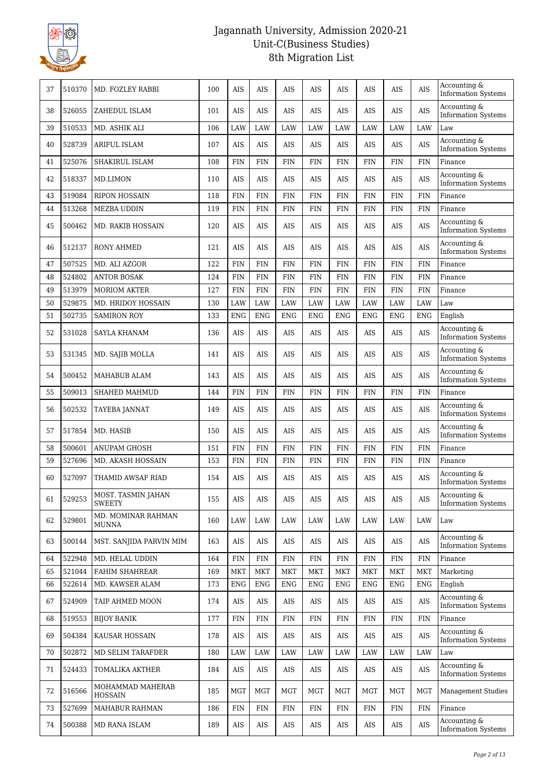

| 37 | 510370 | MD. FOZLEY RABBI                    | 100 | <b>AIS</b>   | <b>AIS</b> | AIS        | <b>AIS</b> | AIS        | AIS        | AIS        | <b>AIS</b> | Accounting &<br><b>Information Systems</b> |
|----|--------|-------------------------------------|-----|--------------|------------|------------|------------|------------|------------|------------|------------|--------------------------------------------|
| 38 | 526055 | ZAHEDUL ISLAM                       | 101 | <b>AIS</b>   | <b>AIS</b> | <b>AIS</b> | AIS        | <b>AIS</b> | AIS        | <b>AIS</b> | <b>AIS</b> | Accounting &<br><b>Information Systems</b> |
| 39 | 510533 | MD. ASHIK ALI                       | 106 | LAW          | LAW        | LAW        | LAW        | LAW        | LAW        | <b>LAW</b> | LAW        | Law                                        |
| 40 | 528739 | <b>ARIFUL ISLAM</b>                 | 107 | <b>AIS</b>   | AIS        | <b>AIS</b> | <b>AIS</b> | <b>AIS</b> | AIS        | AIS        | <b>AIS</b> | Accounting &<br><b>Information Systems</b> |
| 41 | 525076 | SHAKIRUL ISLAM                      | 108 | <b>FIN</b>   | <b>FIN</b> | <b>FIN</b> | <b>FIN</b> | <b>FIN</b> | <b>FIN</b> | <b>FIN</b> | <b>FIN</b> | Finance                                    |
| 42 | 518337 | MD.LIMON                            | 110 | <b>AIS</b>   | <b>AIS</b> | <b>AIS</b> | AIS        | <b>AIS</b> | AIS        | AIS        | <b>AIS</b> | Accounting &<br><b>Information Systems</b> |
| 43 | 519084 | <b>RIPON HOSSAIN</b>                | 118 | <b>FIN</b>   | <b>FIN</b> | <b>FIN</b> | <b>FIN</b> | <b>FIN</b> | <b>FIN</b> | FIN        | <b>FIN</b> | Finance                                    |
| 44 | 513268 | MEZBA UDDIN                         | 119 | <b>FIN</b>   | <b>FIN</b> | <b>FIN</b> | <b>FIN</b> | <b>FIN</b> | <b>FIN</b> | FIN        | <b>FIN</b> | Finance                                    |
| 45 | 500462 | MD. RAKIB HOSSAIN                   | 120 | <b>AIS</b>   | AIS        | <b>AIS</b> | AIS        | <b>AIS</b> | AIS        | AIS        | <b>AIS</b> | Accounting &<br><b>Information Systems</b> |
| 46 | 512137 | <b>RONY AHMED</b>                   | 121 | <b>AIS</b>   | <b>AIS</b> | <b>AIS</b> | AIS        | <b>AIS</b> | AIS        | <b>AIS</b> | <b>AIS</b> | Accounting &<br><b>Information Systems</b> |
| 47 | 507525 | MD. ALI AZGOR                       | 122 | <b>FIN</b>   | <b>FIN</b> | <b>FIN</b> | <b>FIN</b> | <b>FIN</b> | <b>FIN</b> | <b>FIN</b> | <b>FIN</b> | Finance                                    |
| 48 | 524802 | <b>ANTOR BOSAK</b>                  | 124 | <b>FIN</b>   | <b>FIN</b> | <b>FIN</b> | <b>FIN</b> | <b>FIN</b> | <b>FIN</b> | <b>FIN</b> | <b>FIN</b> | Finance                                    |
| 49 | 513979 | <b>MORIOM AKTER</b>                 | 127 | <b>FIN</b>   | <b>FIN</b> | <b>FIN</b> | <b>FIN</b> | <b>FIN</b> | <b>FIN</b> | FIN        | <b>FIN</b> | Finance                                    |
| 50 | 529875 | MD. HRIDOY HOSSAIN                  | 130 | LAW          | LAW        | LAW        | <b>LAW</b> | LAW        | LAW        | LAW        | LAW        | Law                                        |
| 51 | 502735 | <b>SAMIRON ROY</b>                  | 133 | <b>ENG</b>   | <b>ENG</b> | <b>ENG</b> | <b>ENG</b> | <b>ENG</b> | <b>ENG</b> | <b>ENG</b> | <b>ENG</b> | English                                    |
| 52 | 531028 | <b>SAYLA KHANAM</b>                 | 136 | <b>AIS</b>   | AIS        | <b>AIS</b> | <b>AIS</b> | <b>AIS</b> | AIS        | AIS        | <b>AIS</b> | Accounting &<br><b>Information Systems</b> |
| 53 | 531345 | MD. SAJIB MOLLA                     | 141 | <b>AIS</b>   | <b>AIS</b> | <b>AIS</b> | AIS        | AIS        | AIS        | <b>AIS</b> | <b>AIS</b> | Accounting &<br><b>Information Systems</b> |
| 54 | 500452 | MAHABUB ALAM                        | 143 | AIS          | AIS        | AIS        | AIS        | AIS        | AIS        | AIS        | <b>AIS</b> | Accounting &<br><b>Information Systems</b> |
| 55 | 509013 | SHAHED MAHMUD                       | 144 | <b>FIN</b>   | <b>FIN</b> | <b>FIN</b> | <b>FIN</b> | <b>FIN</b> | <b>FIN</b> | FIN        | <b>FIN</b> | Finance                                    |
| 56 | 502532 | TAYEBA JANNAT                       | 149 | <b>AIS</b>   | AIS        | <b>AIS</b> | <b>AIS</b> | <b>AIS</b> | AIS        | AIS        | <b>AIS</b> | Accounting &<br><b>Information Systems</b> |
| 57 | 517854 | MD. HASIB                           | 150 | <b>AIS</b>   | <b>AIS</b> | <b>AIS</b> | AIS        | <b>AIS</b> | AIS        | <b>AIS</b> | <b>AIS</b> | Accounting &<br><b>Information Systems</b> |
| 58 | 500601 | ANUPAM GHOSH                        | 151 | <b>FIN</b>   | <b>FIN</b> | <b>FIN</b> | <b>FIN</b> | <b>FIN</b> | <b>FIN</b> | <b>FIN</b> | <b>FIN</b> | Finance                                    |
| 59 | 527696 | <b>MD. AKASH HOSSAIN</b>            | 153 | ${\rm FIN}$  | <b>FIN</b> | <b>FIN</b> | <b>FIN</b> | <b>FIN</b> | FIN        | FIN        | <b>FIN</b> | Finance                                    |
| 60 | 527097 | THAMID AWSAF RIAD                   | 154 | <b>AIS</b>   | <b>AIS</b> | <b>AIS</b> | AIS        | <b>AIS</b> | AIS        | <b>AIS</b> | <b>AIS</b> | Accounting &<br><b>Information Systems</b> |
| 61 | 529253 | MOST. TASMIN JAHAN<br><b>SWEETY</b> | 155 | AIS          | AIS        | AIS        | AIS        | AIS        | AIS        | AIS        | <b>AIS</b> | Accounting &<br><b>Information Systems</b> |
| 62 | 529801 | MD. MOMINAR RAHMAN<br><b>MUNNA</b>  | 160 | LAW          | LAW        | LAW        | LAW        | LAW        | LAW        | LAW        | LAW        | Law                                        |
| 63 | 500144 | MST. SANJIDA PARVIN MIM             | 163 | AIS          | AIS        | AIS        | AIS        | AIS        | AIS        | AIS        | AIS        | Accounting &<br><b>Information Systems</b> |
| 64 | 522948 | MD. HELAL UDDIN                     | 164 | <b>FIN</b>   | <b>FIN</b> | <b>FIN</b> | FIN        | <b>FIN</b> | <b>FIN</b> | FIN        | <b>FIN</b> | Finance                                    |
| 65 | 521044 | <b>FAHIM SHAHREAR</b>               | 169 | <b>MKT</b>   | MKT        | <b>MKT</b> | <b>MKT</b> | <b>MKT</b> | <b>MKT</b> | <b>MKT</b> | MKT        | Marketing                                  |
| 66 | 522614 | MD. KAWSER ALAM                     | 173 | <b>ENG</b>   | <b>ENG</b> | <b>ENG</b> | <b>ENG</b> | <b>ENG</b> | <b>ENG</b> | <b>ENG</b> | <b>ENG</b> | English                                    |
| 67 | 524909 | TAIP AHMED MOON                     | 174 | AIS          | AIS        | AIS        | AIS        | AIS        | AIS        | AIS        | AIS        | Accounting &<br><b>Information Systems</b> |
| 68 | 519553 | <b>BIJOY BANIK</b>                  | 177 | FIN          | <b>FIN</b> | FIN        | FIN        | FIN        | FIN        | FIN        | <b>FIN</b> | Finance                                    |
| 69 | 504384 | KAUSAR HOSSAIN                      | 178 | AIS          | AIS        | AIS        | AIS        | AIS        | AIS        | AIS        | <b>AIS</b> | Accounting &<br><b>Information Systems</b> |
| 70 | 502872 | MD SELIM TARAFDER                   | 180 | LAW          | LAW        | LAW        | LAW        | LAW        | LAW        | LAW        | LAW        | Law                                        |
| 71 | 524433 | TOMALIKA AKTHER                     | 184 | AIS          | AIS        | AIS        | AIS        | AIS        | AIS        | AIS        | AIS        | Accounting &<br><b>Information Systems</b> |
| 72 | 516566 | MOHAMMAD MAHERAB<br><b>HOSSAIN</b>  | 185 | MGT          | MGT        | <b>MGT</b> | MGT        | <b>MGT</b> | <b>MGT</b> | <b>MGT</b> | <b>MGT</b> | <b>Management Studies</b>                  |
| 73 | 527699 | MAHABUR RAHMAN                      | 186 | $\text{FIN}$ | <b>FIN</b> | <b>FIN</b> | <b>FIN</b> | FIN        | <b>FIN</b> | FIN        | <b>FIN</b> | Finance                                    |
| 74 | 500388 | MD RANA ISLAM                       | 189 | AIS          | AIS        | AIS        | AIS        | AIS        | AIS        | AIS        | AIS        | Accounting &<br><b>Information Systems</b> |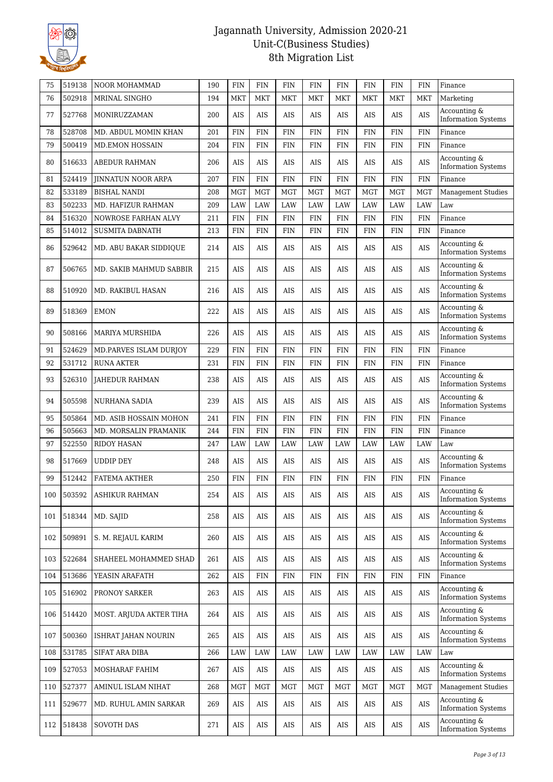

| 75  | 519138 | <b>NOOR MOHAMMAD</b>      | 190 | <b>FIN</b> | <b>FIN</b> | <b>FIN</b> | <b>FIN</b> | <b>FIN</b> | <b>FIN</b> | <b>FIN</b> | FIN        | Finance                                    |
|-----|--------|---------------------------|-----|------------|------------|------------|------------|------------|------------|------------|------------|--------------------------------------------|
| 76  | 502918 | MRINAL SINGHO             | 194 | <b>MKT</b> | <b>MKT</b> | <b>MKT</b> | <b>MKT</b> | <b>MKT</b> | <b>MKT</b> | <b>MKT</b> | <b>MKT</b> | Marketing                                  |
| 77  | 527768 | MONIRUZZAMAN              | 200 | AIS        | AIS        | AIS        | AIS        | AIS        | AIS        | AIS        | <b>AIS</b> | Accounting &<br><b>Information Systems</b> |
| 78  | 528708 | MD. ABDUL MOMIN KHAN      | 201 | <b>FIN</b> | <b>FIN</b> | <b>FIN</b> | <b>FIN</b> | <b>FIN</b> | <b>FIN</b> | <b>FIN</b> | <b>FIN</b> | Finance                                    |
| 79  | 500419 | <b>MD.EMON HOSSAIN</b>    | 204 | <b>FIN</b> | <b>FIN</b> | <b>FIN</b> | <b>FIN</b> | <b>FIN</b> | <b>FIN</b> | <b>FIN</b> | <b>FIN</b> | Finance                                    |
| 80  | 516633 | ABEDUR RAHMAN             | 206 | <b>AIS</b> | <b>AIS</b> | AIS        | AIS        | AIS        | AIS        | <b>AIS</b> | <b>AIS</b> | Accounting &<br><b>Information Systems</b> |
| 81  | 524419 | <b>JINNATUN NOOR ARPA</b> | 207 | <b>FIN</b> | <b>FIN</b> | <b>FIN</b> | <b>FIN</b> | <b>FIN</b> | <b>FIN</b> | <b>FIN</b> | <b>FIN</b> | Finance                                    |
| 82  | 533189 | <b>BISHAL NANDI</b>       | 208 | <b>MGT</b> | <b>MGT</b> | <b>MGT</b> | <b>MGT</b> | <b>MGT</b> | <b>MGT</b> | <b>MGT</b> | <b>MGT</b> | <b>Management Studies</b>                  |
| 83  | 502233 | MD. HAFIZUR RAHMAN        | 209 | LAW        | <b>LAW</b> | LAW        | LAW        | LAW        | LAW        | LAW        | LAW        | Law                                        |
| 84  | 516320 | NOWROSE FARHAN ALVY       | 211 | <b>FIN</b> | <b>FIN</b> | <b>FIN</b> | <b>FIN</b> | <b>FIN</b> | <b>FIN</b> | <b>FIN</b> | <b>FIN</b> | Finance                                    |
| 85  | 514012 | <b>SUSMITA DABNATH</b>    | 213 | <b>FIN</b> | <b>FIN</b> | <b>FIN</b> | <b>FIN</b> | <b>FIN</b> | <b>FIN</b> | <b>FIN</b> | <b>FIN</b> | Finance                                    |
| 86  | 529642 | MD. ABU BAKAR SIDDIQUE    | 214 | <b>AIS</b> | <b>AIS</b> | AIS        | AIS        | AIS        | AIS        | AIS        | <b>AIS</b> | Accounting &<br><b>Information Systems</b> |
| 87  | 506765 | MD. SAKIB MAHMUD SABBIR   | 215 | <b>AIS</b> | <b>AIS</b> | <b>AIS</b> | AIS        | AIS        | <b>AIS</b> | AIS        | <b>AIS</b> | Accounting &<br><b>Information Systems</b> |
| 88  | 510920 | MD. RAKIBUL HASAN         | 216 | <b>AIS</b> | <b>AIS</b> | AIS        | AIS        | AIS        | AIS        | <b>AIS</b> | <b>AIS</b> | Accounting &<br><b>Information Systems</b> |
| 89  | 518369 | <b>EMON</b>               | 222 | AIS        | AIS        | AIS        | AIS        | AIS        | AIS        | AIS        | <b>AIS</b> | Accounting &<br><b>Information Systems</b> |
| 90  | 508166 | <b>MARIYA MURSHIDA</b>    | 226 | <b>AIS</b> | <b>AIS</b> | <b>AIS</b> | <b>AIS</b> | <b>AIS</b> | <b>AIS</b> | <b>AIS</b> | AIS        | Accounting &<br><b>Information Systems</b> |
| 91  | 524629 | MD.PARVES ISLAM DURJOY    | 229 | <b>FIN</b> | <b>FIN</b> | <b>FIN</b> | <b>FIN</b> | <b>FIN</b> | <b>FIN</b> | <b>FIN</b> | <b>FIN</b> | Finance                                    |
| 92  | 531712 | <b>RUNA AKTER</b>         | 231 | <b>FIN</b> | <b>FIN</b> | <b>FIN</b> | <b>FIN</b> | <b>FIN</b> | <b>FIN</b> | <b>FIN</b> | <b>FIN</b> | Finance                                    |
| 93  | 526310 | <b>JAHEDUR RAHMAN</b>     | 238 | AIS        | AIS        | AIS        | AIS        | AIS        | AIS        | AIS        | AIS        | Accounting &<br><b>Information Systems</b> |
| 94  | 505598 | <b>NURHANA SADIA</b>      | 239 | <b>AIS</b> | <b>AIS</b> | <b>AIS</b> | <b>AIS</b> | <b>AIS</b> | <b>AIS</b> | <b>AIS</b> | <b>AIS</b> | Accounting &<br><b>Information Systems</b> |
| 95  | 505864 | MD. ASIB HOSSAIN MOHON    | 241 | <b>FIN</b> | <b>FIN</b> | <b>FIN</b> | <b>FIN</b> | <b>FIN</b> | <b>FIN</b> | <b>FIN</b> | <b>FIN</b> | Finance                                    |
| 96  | 505663 | MD. MORSALIN PRAMANIK     | 244 | <b>FIN</b> | <b>FIN</b> | <b>FIN</b> | <b>FIN</b> | <b>FIN</b> | <b>FIN</b> | <b>FIN</b> | <b>FIN</b> | Finance                                    |
| 97  | 522550 | <b>RIDOY HASAN</b>        | 247 | LAW        | LAW        | LAW        | LAW        | LAW        | LAW        | LAW        | LAW        | Law                                        |
| 98  | 517669 | <b>UDDIP DEY</b>          | 248 | AIS        | <b>AIS</b> | <b>AIS</b> | <b>AIS</b> | AIS        | AIS        | AIS        | <b>AIS</b> | Accounting &<br><b>Information Systems</b> |
| 99  | 512442 | <b>FATEMA AKTHER</b>      | 250 | <b>FIN</b> | <b>FIN</b> | <b>FIN</b> | <b>FIN</b> | <b>FIN</b> | <b>FIN</b> | <b>FIN</b> | <b>FIN</b> | Finance                                    |
| 100 | 503592 | ASHIKUR RAHMAN            | 254 | AIS        | AIS        | AIS        | AIS        | AIS        | AIS        | AIS        | AIS        | Accounting &<br><b>Information Systems</b> |
| 101 | 518344 | MD. SAJID                 | 258 | AIS        | AIS        | AIS        | AIS        | AIS        | AIS        | AIS        | <b>AIS</b> | Accounting &<br><b>Information Systems</b> |
| 102 | 509891 | S. M. REJAUL KARIM        | 260 | AIS        | AIS        | AIS        | AIS        | AIS        | AIS        | AIS        | <b>AIS</b> | Accounting &<br><b>Information Systems</b> |
| 103 | 522684 | SHAHEEL MOHAMMED SHAD     | 261 | AIS        | AIS        | AIS        | AIS        | AIS        | AIS        | AIS        | <b>AIS</b> | Accounting &<br><b>Information Systems</b> |
| 104 | 513686 | YEASIN ARAFATH            | 262 | AIS        | <b>FIN</b> | <b>FIN</b> | <b>FIN</b> | <b>FIN</b> | <b>FIN</b> | FIN        | <b>FIN</b> | Finance                                    |
| 105 | 516902 | PRONOY SARKER             | 263 | AIS        | AIS        | AIS        | AIS        | AIS        | AIS        | AIS        | <b>AIS</b> | Accounting &<br><b>Information Systems</b> |
| 106 | 514420 | MOST. ARJUDA AKTER TIHA   | 264 | $\rm AIS$  | $\rm{AIS}$ | AIS        | AIS        | AIS        | AIS        | AIS        | <b>AIS</b> | Accounting &<br><b>Information Systems</b> |
| 107 | 500360 | ISHRAT JAHAN NOURIN       | 265 | AIS        | AIS        | AIS        | AIS        | AIS        | AIS        | AIS        | <b>AIS</b> | Accounting &<br><b>Information Systems</b> |
| 108 | 531785 | SIFAT ARA DIBA            | 266 | LAW        | LAW        | LAW        | LAW        | LAW        | LAW        | LAW        | LAW        | Law                                        |
| 109 | 527053 | MOSHARAF FAHIM            | 267 | AIS        | AIS        | AIS        | AIS        | AIS        | AIS        | AIS        | AIS        | Accounting &<br><b>Information Systems</b> |
| 110 | 527377 | AMINUL ISLAM NIHAT        | 268 | <b>MGT</b> | MGT        | <b>MGT</b> | <b>MGT</b> | <b>MGT</b> | <b>MGT</b> | <b>MGT</b> | <b>MGT</b> | <b>Management Studies</b>                  |
| 111 | 529677 | MD. RUHUL AMIN SARKAR     | 269 | AIS        | AIS        | AIS        | AIS        | AIS        | AIS        | AIS        | <b>AIS</b> | Accounting &<br><b>Information Systems</b> |
| 112 | 518438 | <b>SOVOTH DAS</b>         | 271 | AIS        | AIS        | AIS        | AIS        | AIS        | AIS        | AIS        | <b>AIS</b> | Accounting &<br><b>Information Systems</b> |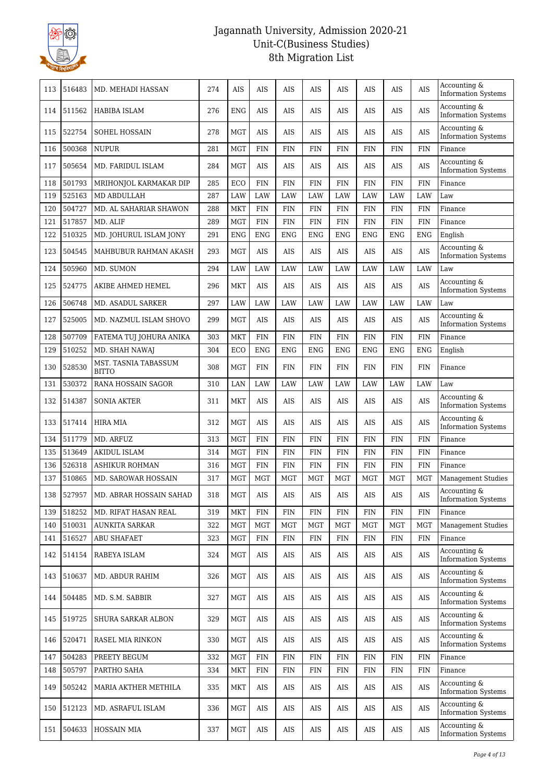

| 113 | 516483 | MD. MEHADI HASSAN                    | 274 | AIS        | AIS         | AIS        | AIS        | AIS        | AIS        | AIS        | <b>AIS</b> | Accounting &<br><b>Information Systems</b> |
|-----|--------|--------------------------------------|-----|------------|-------------|------------|------------|------------|------------|------------|------------|--------------------------------------------|
| 114 | 511562 | HABIBA ISLAM                         | 276 | <b>ENG</b> | AIS         | AIS        | AIS        | AIS        | AIS        | AIS        | AIS        | Accounting &<br><b>Information Systems</b> |
| 115 | 522754 | SOHEL HOSSAIN                        | 278 | <b>MGT</b> | <b>AIS</b>  | <b>AIS</b> | AIS        | <b>AIS</b> | AIS        | AIS        | <b>AIS</b> | Accounting &<br><b>Information Systems</b> |
| 116 | 500368 | <b>NUPUR</b>                         | 281 | <b>MGT</b> | <b>FIN</b>  | <b>FIN</b> | <b>FIN</b> | <b>FIN</b> | <b>FIN</b> | <b>FIN</b> | <b>FIN</b> | Finance                                    |
| 117 | 505654 | MD. FARIDUL ISLAM                    | 284 | <b>MGT</b> | AIS         | <b>AIS</b> | AIS        | AIS        | AIS        | AIS        | <b>AIS</b> | Accounting &<br><b>Information Systems</b> |
| 118 | 501793 | MRIHONJOL KARMAKAR DIP               | 285 | ECO        | <b>FIN</b>  | <b>FIN</b> | <b>FIN</b> | <b>FIN</b> | <b>FIN</b> | <b>FIN</b> | <b>FIN</b> | Finance                                    |
| 119 | 525163 | <b>MD ABDULLAH</b>                   | 287 | LAW        | LAW         | LAW        | LAW        | LAW        | LAW        | LAW        | LAW        | Law                                        |
| 120 | 504727 | MD. AL SAHARIAR SHAWON               | 288 | <b>MKT</b> | <b>FIN</b>  | <b>FIN</b> | <b>FIN</b> | <b>FIN</b> | <b>FIN</b> | <b>FIN</b> | <b>FIN</b> | Finance                                    |
| 121 | 517857 | MD. ALIF                             | 289 | <b>MGT</b> | <b>FIN</b>  | <b>FIN</b> | <b>FIN</b> | <b>FIN</b> | <b>FIN</b> | <b>FIN</b> | <b>FIN</b> | Finance                                    |
| 122 | 510325 | MD. JOHURUL ISLAM JONY               | 291 | <b>ENG</b> | <b>ENG</b>  | <b>ENG</b> | <b>ENG</b> | <b>ENG</b> | <b>ENG</b> | <b>ENG</b> | ENG        | English                                    |
| 123 | 504545 | MAHBUBUR RAHMAN AKASH                | 293 | <b>MGT</b> | <b>AIS</b>  | AIS        | AIS        | <b>AIS</b> | AIS        | AIS        | <b>AIS</b> | Accounting &<br><b>Information Systems</b> |
| 124 | 505960 | MD. SUMON                            | 294 | LAW        | <b>LAW</b>  | LAW        | LAW        | LAW        | LAW        | LAW        | LAW        | Law                                        |
| 125 | 524775 | AKIBE AHMED HEMEL                    | 296 | <b>MKT</b> | <b>AIS</b>  | <b>AIS</b> | AIS        | AIS        | AIS        | AIS        | AIS        | Accounting &<br><b>Information Systems</b> |
| 126 | 506748 | <b>MD. ASADUL SARKER</b>             | 297 | LAW        | LAW         | LAW        | LAW        | LAW        | LAW        | LAW        | LAW        | Law                                        |
| 127 | 525005 | MD. NAZMUL ISLAM SHOVO               | 299 | <b>MGT</b> | <b>AIS</b>  | AIS        | AIS        | AIS        | AIS        | <b>AIS</b> | AIS        | Accounting &<br><b>Information Systems</b> |
| 128 | 507709 | FATEMA TUJ JOHURA ANIKA              | 303 | <b>MKT</b> | <b>FIN</b>  | <b>FIN</b> | <b>FIN</b> | <b>FIN</b> | <b>FIN</b> | <b>FIN</b> | <b>FIN</b> | Finance                                    |
| 129 | 510252 | MD. SHAH NAWAJ                       | 304 | ECO        | <b>ENG</b>  | <b>ENG</b> | <b>ENG</b> | <b>ENG</b> | <b>ENG</b> | <b>ENG</b> | <b>ENG</b> | English                                    |
| 130 | 528530 | MST. TASNIA TABASSUM<br><b>BITTO</b> | 308 | <b>MGT</b> | <b>FIN</b>  | <b>FIN</b> | <b>FIN</b> | <b>FIN</b> | <b>FIN</b> | <b>FIN</b> | <b>FIN</b> | Finance                                    |
| 131 | 530372 | RANA HOSSAIN SAGOR                   | 310 | LAN        | LAW         | LAW        | LAW        | LAW        | LAW        | LAW        | LAW        | Law                                        |
| 132 | 514387 | <b>SONIA AKTER</b>                   | 311 | <b>MKT</b> | AIS         | AIS        | AIS        | AIS        | AIS        | AIS        | <b>AIS</b> | Accounting &<br><b>Information Systems</b> |
| 133 | 517414 | <b>HIRA MIA</b>                      | 312 | <b>MGT</b> | AIS         | AIS        | AIS        | AIS        | AIS        | AIS        | AIS        | Accounting &<br><b>Information Systems</b> |
| 134 | 511779 | MD. ARFUZ                            | 313 | <b>MGT</b> | <b>FIN</b>  | <b>FIN</b> | <b>FIN</b> | <b>FIN</b> | <b>FIN</b> | <b>FIN</b> | <b>FIN</b> | Finance                                    |
| 135 | 513649 | <b>AKIDUL ISLAM</b>                  | 314 | <b>MGT</b> | <b>FIN</b>  | <b>FIN</b> | <b>FIN</b> | <b>FIN</b> | <b>FIN</b> | <b>FIN</b> | <b>FIN</b> | Finance                                    |
| 136 | 526318 | <b>ASHIKUR ROHMAN</b>                | 316 | <b>MGT</b> | <b>FIN</b>  | FIN        | <b>FIN</b> | <b>FIN</b> | <b>FIN</b> | <b>FIN</b> | <b>FIN</b> | Finance                                    |
| 137 | 510865 | <b>MD. SAROWAR HOSSAIN</b>           | 317 | <b>MGT</b> | <b>MGT</b>  | <b>MGT</b> | <b>MGT</b> | <b>MGT</b> | <b>MGT</b> | <b>MGT</b> | <b>MGT</b> | <b>Management Studies</b>                  |
| 138 | 527957 | MD. ABRAR HOSSAIN SAHAD              | 318 | MGT        | $\rm{AIS}$  | AIS        | $\rm{AIS}$ | AIS        | $\rm{AIS}$ | $\rm{AIS}$ | $\rm{AIS}$ | Accounting &<br><b>Information Systems</b> |
| 139 | 518252 | MD. RIFAT HASAN REAL                 | 319 | MKT        | ${\rm FIN}$ | <b>FIN</b> | <b>FIN</b> | <b>FIN</b> | <b>FIN</b> | <b>FIN</b> | <b>FIN</b> | Finance                                    |
| 140 | 510031 | <b>AUNKITA SARKAR</b>                | 322 | <b>MGT</b> | <b>MGT</b>  | <b>MGT</b> | <b>MGT</b> | <b>MGT</b> | <b>MGT</b> | <b>MGT</b> | MGT        | <b>Management Studies</b>                  |
| 141 | 516527 | <b>ABU SHAFAET</b>                   | 323 | <b>MGT</b> | <b>FIN</b>  | <b>FIN</b> | <b>FIN</b> | <b>FIN</b> | <b>FIN</b> | FIN        | <b>FIN</b> | Finance                                    |
| 142 | 514154 | RABEYA ISLAM                         | 324 | <b>MGT</b> | AIS         | AIS        | AIS        | AIS        | AIS        | AIS        | <b>AIS</b> | Accounting &<br><b>Information Systems</b> |
| 143 | 510637 | MD. ABDUR RAHIM                      | 326 | <b>MGT</b> | AIS         | AIS        | AIS        | AIS        | AIS        | AIS        | AIS        | Accounting &<br><b>Information Systems</b> |
| 144 | 504485 | MD. S.M. SABBIR                      | 327 | <b>MGT</b> | AIS         | AIS        | AIS        | AIS        | AIS        | AIS        | <b>AIS</b> | Accounting &<br><b>Information Systems</b> |
| 145 | 519725 | <b>SHURA SARKAR ALBON</b>            | 329 | <b>MGT</b> | AIS         | AIS        | AIS        | AIS        | AIS        | AIS        | AIS        | Accounting &<br><b>Information Systems</b> |
| 146 | 520471 | RASEL MIA RINKON                     | 330 | <b>MGT</b> | AIS         | AIS        | AIS        | AIS        | AIS        | AIS        | <b>AIS</b> | Accounting &<br><b>Information Systems</b> |
| 147 | 504283 | PREETY BEGUM                         | 332 | <b>MGT</b> | <b>FIN</b>  | <b>FIN</b> | <b>FIN</b> | <b>FIN</b> | <b>FIN</b> | <b>FIN</b> | <b>FIN</b> | Finance                                    |
| 148 | 505797 | PARTHO SAHA                          | 334 | <b>MKT</b> | <b>FIN</b>  | FIN        | <b>FIN</b> | FIN        | <b>FIN</b> | <b>FIN</b> | <b>FIN</b> | Finance                                    |
| 149 | 505242 | MARIA AKTHER METHILA                 | 335 | <b>MKT</b> | AIS         | AIS        | AIS        | AIS        | AIS        | AIS        | AIS        | Accounting &<br><b>Information Systems</b> |
| 150 | 512123 | MD. ASRAFUL ISLAM                    | 336 | <b>MGT</b> | AIS         | AIS        | AIS        | AIS        | AIS        | AIS        | <b>AIS</b> | Accounting &<br><b>Information Systems</b> |
| 151 | 504633 | <b>HOSSAIN MIA</b>                   | 337 | MGT        | AIS         | AIS        | AIS        | AIS        | AIS        | AIS        | AIS        | Accounting &<br><b>Information Systems</b> |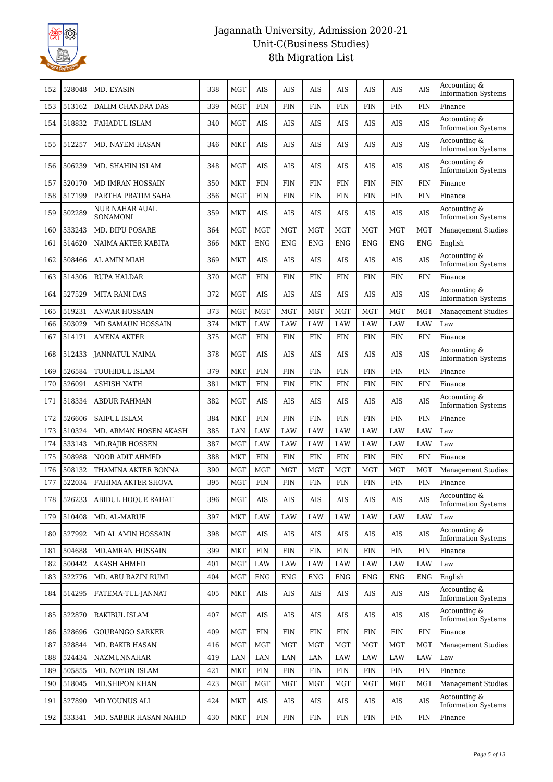

| 152 | 528048 | MD. EYASIN                        | 338 | <b>MGT</b> | <b>AIS</b> | AIS        | AIS        | AIS        | AIS        | AIS        | AIS        | Accounting &<br><b>Information Systems</b>    |
|-----|--------|-----------------------------------|-----|------------|------------|------------|------------|------------|------------|------------|------------|-----------------------------------------------|
| 153 | 513162 | DALIM CHANDRA DAS                 | 339 | <b>MGT</b> | <b>FIN</b> | <b>FIN</b> | <b>FIN</b> | <b>FIN</b> | <b>FIN</b> | <b>FIN</b> | <b>FIN</b> | Finance                                       |
| 154 | 518832 | FAHADUL ISLAM                     | 340 | <b>MGT</b> | <b>AIS</b> | <b>AIS</b> | AIS        | AIS        | <b>AIS</b> | <b>AIS</b> | <b>AIS</b> | Accounting &<br><b>Information Systems</b>    |
| 155 | 512257 | MD. NAYEM HASAN                   | 346 | <b>MKT</b> | <b>AIS</b> | <b>AIS</b> | AIS        | AIS        | AIS        | AIS        | AIS        | Accounting &<br><b>Information Systems</b>    |
| 156 | 506239 | MD. SHAHIN ISLAM                  | 348 | <b>MGT</b> | <b>AIS</b> | AIS        | AIS        | AIS        | AIS        | AIS        | AIS        | Accounting &<br><b>Information Systems</b>    |
| 157 | 520170 | MD IMRAN HOSSAIN                  | 350 | <b>MKT</b> | <b>FIN</b> | <b>FIN</b> | <b>FIN</b> | <b>FIN</b> | <b>FIN</b> | <b>FIN</b> | <b>FIN</b> | Finance                                       |
| 158 | 517199 | PARTHA PRATIM SAHA                | 356 | <b>MGT</b> | <b>FIN</b> | <b>FIN</b> | <b>FIN</b> | <b>FIN</b> | <b>FIN</b> | <b>FIN</b> | <b>FIN</b> | Finance                                       |
| 159 | 502289 | <b>NUR NAHAR AUAL</b><br>SONAMONI | 359 | <b>MKT</b> | <b>AIS</b> | AIS        | AIS        | AIS        | AIS        | AIS        | <b>AIS</b> | Accounting &<br><b>Information Systems</b>    |
| 160 | 533243 | MD. DIPU POSARE                   | 364 | <b>MGT</b> | <b>MGT</b> | <b>MGT</b> | <b>MGT</b> | <b>MGT</b> | <b>MGT</b> | <b>MGT</b> | <b>MGT</b> | <b>Management Studies</b>                     |
| 161 | 514620 | NAIMA AKTER KABITA                | 366 | <b>MKT</b> | <b>ENG</b> | <b>ENG</b> | <b>ENG</b> | <b>ENG</b> | <b>ENG</b> | <b>ENG</b> | <b>ENG</b> | English                                       |
| 162 | 508466 | AL AMIN MIAH                      | 369 | <b>MKT</b> | <b>AIS</b> | <b>AIS</b> | AIS        | AIS        | AIS        | AIS        | AIS        | Accounting &<br><b>Information Systems</b>    |
| 163 | 514306 | RUPA HALDAR                       | 370 | <b>MGT</b> | <b>FIN</b> | <b>FIN</b> | <b>FIN</b> | <b>FIN</b> | <b>FIN</b> | <b>FIN</b> | <b>FIN</b> | Finance                                       |
| 164 | 527529 | <b>MITA RANI DAS</b>              | 372 | <b>MGT</b> | <b>AIS</b> | AIS        | <b>AIS</b> | <b>AIS</b> | <b>AIS</b> | AIS        | <b>AIS</b> | Accounting &<br><b>Information Systems</b>    |
| 165 | 519231 | <b>ANWAR HOSSAIN</b>              | 373 | MGT        | <b>MGT</b> | <b>MGT</b> | <b>MGT</b> | <b>MGT</b> | <b>MGT</b> | <b>MGT</b> | <b>MGT</b> | <b>Management Studies</b>                     |
| 166 | 503029 | MD SAMAUN HOSSAIN                 | 374 | <b>MKT</b> | <b>LAW</b> | LAW        | LAW        | LAW        | LAW        | LAW        | LAW        | Law                                           |
| 167 | 514171 | <b>AMENA AKTER</b>                | 375 | <b>MGT</b> | <b>FIN</b> | <b>FIN</b> | <b>FIN</b> | <b>FIN</b> | FIN        | <b>FIN</b> | <b>FIN</b> | Finance                                       |
| 168 | 512433 | <b>JANNATUL NAIMA</b>             | 378 | <b>MGT</b> | <b>AIS</b> | <b>AIS</b> | <b>AIS</b> | AIS        | <b>AIS</b> | <b>AIS</b> | <b>AIS</b> | Accounting &<br><b>Information Systems</b>    |
| 169 | 526584 | TOUHIDUL ISLAM                    | 379 | <b>MKT</b> | <b>FIN</b> | <b>FIN</b> | <b>FIN</b> | <b>FIN</b> | <b>FIN</b> | <b>FIN</b> | <b>FIN</b> | Finance                                       |
| 170 | 526091 | ASHISH NATH                       | 381 | <b>MKT</b> | <b>FIN</b> | <b>FIN</b> | <b>FIN</b> | <b>FIN</b> | FIN        | <b>FIN</b> | <b>FIN</b> | Finance                                       |
| 171 | 518334 | ABDUR RAHMAN                      | 382 | <b>MGT</b> | <b>AIS</b> | AIS        | AIS        | AIS        | AIS        | AIS        | AIS        | Accounting &<br><b>Information Systems</b>    |
| 172 | 526606 | <b>SAIFUL ISLAM</b>               | 384 | <b>MKT</b> | <b>FIN</b> | <b>FIN</b> | <b>FIN</b> | <b>FIN</b> | <b>FIN</b> | <b>FIN</b> | <b>FIN</b> | Finance                                       |
| 173 | 510324 | MD. ARMAN HOSEN AKASH             | 385 | LAN        | <b>LAW</b> | LAW        | <b>LAW</b> | <b>LAW</b> | LAW        | <b>LAW</b> | LAW        | Law                                           |
| 174 | 533143 | <b>MD.RAJIB HOSSEN</b>            | 387 | <b>MGT</b> | LAW        | LAW        | LAW        | LAW        | LAW        | LAW        | LAW        | Law                                           |
| 175 | 508988 | <b>NOOR ADIT AHMED</b>            | 388 | <b>MKT</b> | <b>FIN</b> | <b>FIN</b> | <b>FIN</b> | <b>FIN</b> | FIN        | <b>FIN</b> | <b>FIN</b> | Finance                                       |
| 176 | 508132 | THAMINA AKTER BONNA               | 390 | <b>MGT</b> | <b>MGT</b> | <b>MGT</b> | <b>MGT</b> | <b>MGT</b> | <b>MGT</b> | <b>MGT</b> | <b>MGT</b> | Management Studies                            |
| 177 | 522034 | FAHIMA AKTER SHOVA                | 395 | <b>MGT</b> | <b>FIN</b> | <b>FIN</b> | <b>FIN</b> | <b>FIN</b> | <b>FIN</b> | <b>FIN</b> | <b>FIN</b> | Finance                                       |
| 178 | 526233 | ABIDUL HOOUE RAHAT                | 396 | MGT        | AIS        | AIS        | AIS        | AIS        | <b>AIS</b> | AIS        | AIS        | Accounting $\&$<br><b>Information Systems</b> |
| 179 | 510408 | MD. AL-MARUF                      | 397 | <b>MKT</b> | LAW        | LAW        | LAW        | LAW        | LAW        | LAW        | LAW        | Law                                           |
| 180 | 527992 | MD AL AMIN HOSSAIN                | 398 | MGT        | AIS        | AIS        | AIS        | AIS        | AIS        | AIS        | <b>AIS</b> | Accounting &<br><b>Information Systems</b>    |
| 181 | 504688 | MD.AMRAN HOSSAIN                  | 399 | MKT        | <b>FIN</b> | <b>FIN</b> | FIN        | <b>FIN</b> | <b>FIN</b> | <b>FIN</b> | <b>FIN</b> | Finance                                       |
| 182 | 500442 | <b>AKASH AHMED</b>                | 401 | <b>MGT</b> | LAW        | LAW        | LAW        | LAW        | LAW        | LAW        | LAW        | Law                                           |
| 183 | 522776 | MD. ABU RAZIN RUMI                | 404 | <b>MGT</b> | <b>ENG</b> | <b>ENG</b> | <b>ENG</b> | <b>ENG</b> | <b>ENG</b> | <b>ENG</b> | <b>ENG</b> | English                                       |
| 184 | 514295 | FATEMA-TUL-JANNAT                 | 405 | <b>MKT</b> | AIS        | AIS        | AIS        | AIS        | AIS        | AIS        | <b>AIS</b> | Accounting &<br><b>Information Systems</b>    |
| 185 | 522870 | RAKIBUL ISLAM                     | 407 | <b>MGT</b> | AIS        | AIS        | AIS        | AIS        | AIS        | AIS        | <b>AIS</b> | Accounting &<br><b>Information Systems</b>    |
| 186 | 528696 | <b>GOURANGO SARKER</b>            | 409 | <b>MGT</b> | <b>FIN</b> | <b>FIN</b> | <b>FIN</b> | <b>FIN</b> | FIN        | FIN        | <b>FIN</b> | Finance                                       |
| 187 | 528844 | MD. RAKIB HASAN                   | 416 | <b>MGT</b> | <b>MGT</b> | <b>MGT</b> | <b>MGT</b> | <b>MGT</b> | <b>MGT</b> | MGT        | <b>MGT</b> | Management Studies                            |
| 188 | 524434 | NAZMUNNAHAR                       | 419 | $\rm LAN$  | $\rm LAN$  | LAN        | LAN        | LAW        | LAW        | LAW        | LAW        | Law                                           |
| 189 | 505855 | MD. NOYON ISLAM                   | 421 | MKT        | <b>FIN</b> | <b>FIN</b> | <b>FIN</b> | <b>FIN</b> | <b>FIN</b> | <b>FIN</b> | <b>FIN</b> | Finance                                       |
| 190 | 518045 | <b>MD.SHIPON KHAN</b>             | 423 | MGT        | MGT        | <b>MGT</b> | <b>MGT</b> | <b>MGT</b> | <b>MGT</b> | MGT        | MGT        | <b>Management Studies</b>                     |
| 191 | 527890 | MD YOUNUS ALI                     | 424 | <b>MKT</b> | AIS        | AIS        | AIS        | AIS        | AIS        | AIS        | <b>AIS</b> | Accounting &<br><b>Information Systems</b>    |
| 192 | 533341 | MD. SABBIR HASAN NAHID            | 430 | <b>MKT</b> | <b>FIN</b> | <b>FIN</b> | <b>FIN</b> | <b>FIN</b> | <b>FIN</b> | <b>FIN</b> | <b>FIN</b> | Finance                                       |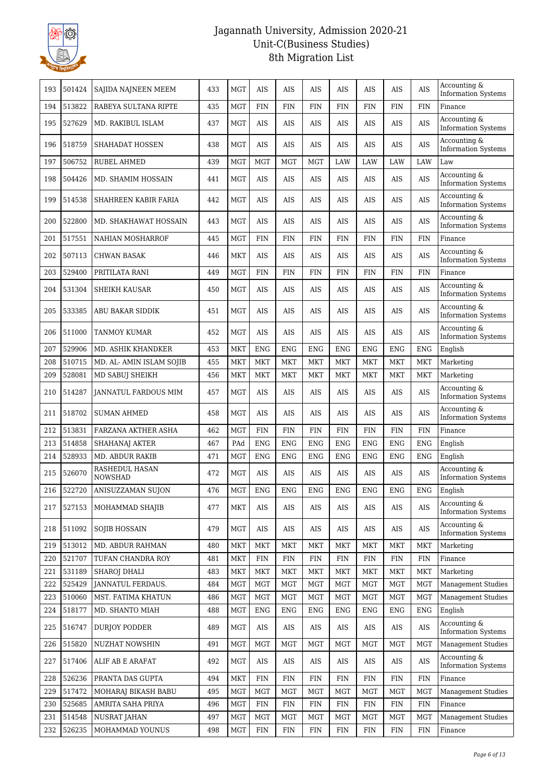

| 193 | 501424 | SAJIDA NAJNEEN MEEM              | 433 | <b>MGT</b> | AIS         | AIS        | AIS        | AIS        | AIS        | AIS        | AIS        | Accounting &<br><b>Information Systems</b> |
|-----|--------|----------------------------------|-----|------------|-------------|------------|------------|------------|------------|------------|------------|--------------------------------------------|
| 194 | 513822 | RABEYA SULTANA RIPTE             | 435 | <b>MGT</b> | <b>FIN</b>  | <b>FIN</b> | <b>FIN</b> | <b>FIN</b> | <b>FIN</b> | <b>FIN</b> | <b>FIN</b> | Finance                                    |
| 195 | 527629 | MD. RAKIBUL ISLAM                | 437 | <b>MGT</b> | AIS         | AIS        | AIS        | AIS        | AIS        | AIS        | <b>AIS</b> | Accounting &<br><b>Information Systems</b> |
| 196 | 518759 | <b>SHAHADAT HOSSEN</b>           | 438 | <b>MGT</b> | AIS         | <b>AIS</b> | AIS        | AIS        | AIS        | AIS        | AIS        | Accounting &<br><b>Information Systems</b> |
| 197 | 506752 | RUBEL AHMED                      | 439 | <b>MGT</b> | <b>MGT</b>  | <b>MGT</b> | <b>MGT</b> | LAW        | LAW        | LAW        | LAW        | Law                                        |
| 198 | 504426 | MD. SHAMIM HOSSAIN               | 441 | <b>MGT</b> | <b>AIS</b>  | <b>AIS</b> | AIS        | AIS        | <b>AIS</b> | AIS        | <b>AIS</b> | Accounting &<br><b>Information Systems</b> |
| 199 | 514538 | SHAHREEN KABIR FARIA             | 442 | <b>MGT</b> | AIS         | AIS        | AIS        | AIS        | AIS        | AIS        | <b>AIS</b> | Accounting &<br><b>Information Systems</b> |
| 200 | 522800 | MD. SHAKHAWAT HOSSAIN            | 443 | <b>MGT</b> | AIS         | <b>AIS</b> | AIS        | AIS        | AIS        | AIS        | <b>AIS</b> | Accounting &<br><b>Information Systems</b> |
| 201 | 517551 | NAHIAN MOSHARROF                 | 445 | <b>MGT</b> | <b>FIN</b>  | <b>FIN</b> | <b>FIN</b> | <b>FIN</b> | <b>FIN</b> | <b>FIN</b> | <b>FIN</b> | Finance                                    |
| 202 | 507113 | CHWAN BASAK                      | 446 | <b>MKT</b> | <b>AIS</b>  | <b>AIS</b> | AIS        | AIS        | AIS        | AIS        | AIS        | Accounting &<br><b>Information Systems</b> |
| 203 | 529400 | PRITILATA RANI                   | 449 | <b>MGT</b> | <b>FIN</b>  | <b>FIN</b> | <b>FIN</b> | <b>FIN</b> | FIN        | <b>FIN</b> | <b>FIN</b> | Finance                                    |
| 204 | 531304 | <b>SHEIKH KAUSAR</b>             | 450 | <b>MGT</b> | AIS         | <b>AIS</b> | AIS        | AIS        | <b>AIS</b> | AIS        | <b>AIS</b> | Accounting &<br><b>Information Systems</b> |
| 205 | 533385 | <b>ABU BAKAR SIDDIK</b>          | 451 | <b>MGT</b> | <b>AIS</b>  | <b>AIS</b> | AIS        | AIS        | <b>AIS</b> | <b>AIS</b> | AIS        | Accounting &<br><b>Information Systems</b> |
| 206 | 511000 | <b>TANMOY KUMAR</b>              | 452 | <b>MGT</b> | <b>AIS</b>  | <b>AIS</b> | AIS        | AIS        | AIS        | AIS        | <b>AIS</b> | Accounting &<br><b>Information Systems</b> |
| 207 | 529906 | MD. ASHIK KHANDKER               | 453 | <b>MKT</b> | <b>ENG</b>  | <b>ENG</b> | <b>ENG</b> | <b>ENG</b> | <b>ENG</b> | <b>ENG</b> | <b>ENG</b> | English                                    |
| 208 | 510715 | MD. AL- AMIN ISLAM SOJIB         | 455 | <b>MKT</b> | <b>MKT</b>  | <b>MKT</b> | <b>MKT</b> | <b>MKT</b> | <b>MKT</b> | <b>MKT</b> | MKT        | Marketing                                  |
| 209 | 528081 | MD SABUJ SHEIKH                  | 456 | <b>MKT</b> | <b>MKT</b>  | <b>MKT</b> | <b>MKT</b> | <b>MKT</b> | <b>MKT</b> | <b>MKT</b> | MKT        | Marketing                                  |
| 210 | 514287 | <b>JANNATUL FARDOUS MIM</b>      | 457 | <b>MGT</b> | <b>AIS</b>  | AIS        | AIS        | AIS        | AIS        | AIS        | <b>AIS</b> | Accounting &<br><b>Information Systems</b> |
| 211 | 518702 | <b>SUMAN AHMED</b>               | 458 | <b>MGT</b> | <b>AIS</b>  | AIS        | AIS        | AIS        | AIS        | AIS        | <b>AIS</b> | Accounting &<br><b>Information Systems</b> |
| 212 | 513831 | FARZANA AKTHER ASHA              | 462 | <b>MGT</b> | <b>FIN</b>  | <b>FIN</b> | <b>FIN</b> | <b>FIN</b> | FIN        | <b>FIN</b> | <b>FIN</b> | Finance                                    |
| 213 | 514858 | <b>SHAHANAJ AKTER</b>            | 467 | PAd        | <b>ENG</b>  | <b>ENG</b> | <b>ENG</b> | <b>ENG</b> | <b>ENG</b> | <b>ENG</b> | <b>ENG</b> | English                                    |
| 214 | 528933 | <b>MD. ABDUR RAKIB</b>           | 471 | <b>MGT</b> | <b>ENG</b>  | <b>ENG</b> | <b>ENG</b> | <b>ENG</b> | <b>ENG</b> | <b>ENG</b> | <b>ENG</b> | English                                    |
| 215 | 526070 | RASHEDUL HASAN<br><b>NOWSHAD</b> | 472 | <b>MGT</b> | AIS         | AIS        | AIS        | AIS        | AIS        | AIS        | <b>AIS</b> | Accounting &<br><b>Information Systems</b> |
| 216 | 522720 | ANISUZZAMAN SUJON                | 476 | <b>MGT</b> | <b>ENG</b>  | <b>ENG</b> | <b>ENG</b> | <b>ENG</b> | <b>ENG</b> | <b>ENG</b> | <b>ENG</b> | English                                    |
| 217 | 527153 | MOHAMMAD SHAJIB                  | 477 | <b>MKT</b> | AIS         | AIS        | AIS        | AIS        | AIS        | AIS        | <b>AIS</b> | Accounting &<br><b>Information Systems</b> |
| 218 | 511092 | SOJIB HOSSAIN                    | 479 | MGT        | AIS         | AIS        | AIS        | AIS        | AIS        | AIS        | <b>AIS</b> | Accounting &<br><b>Information Systems</b> |
| 219 | 513012 | MD. ABDUR RAHMAN                 | 480 | MKT        | MKT         | MKT        | MKT        | <b>MKT</b> | <b>MKT</b> | <b>MKT</b> | MKT        | Marketing                                  |
| 220 | 521707 | TUFAN CHANDRA ROY                | 481 | MKT        | ${\rm FIN}$ | <b>FIN</b> | <b>FIN</b> | <b>FIN</b> | <b>FIN</b> | <b>FIN</b> | <b>FIN</b> | Finance                                    |
| 221 | 531189 | <b>SHAROJ DHALI</b>              | 483 | MKT        | MKT         | <b>MKT</b> | <b>MKT</b> | <b>MKT</b> | <b>MKT</b> | <b>MKT</b> | <b>MKT</b> | Marketing                                  |
| 222 | 525429 | JANNATUL FERDAUS.                | 484 | MGT        | <b>MGT</b>  | <b>MGT</b> | <b>MGT</b> | <b>MGT</b> | <b>MGT</b> | <b>MGT</b> | <b>MGT</b> | <b>Management Studies</b>                  |
| 223 | 510060 | MST. FATIMA KHATUN               | 486 | MGT        | <b>MGT</b>  | <b>MGT</b> | <b>MGT</b> | <b>MGT</b> | <b>MGT</b> | MGT        | <b>MGT</b> | <b>Management Studies</b>                  |
| 224 | 518177 | MD. SHANTO MIAH                  | 488 | <b>MGT</b> | ${\rm ENG}$ | <b>ENG</b> | <b>ENG</b> | <b>ENG</b> | <b>ENG</b> | <b>ENG</b> | <b>ENG</b> | English                                    |
| 225 | 516747 | <b>DURJOY PODDER</b>             | 489 | <b>MGT</b> | $\rm{AIS}$  | AIS        | AIS        | AIS        | AIS        | AIS        | <b>AIS</b> | Accounting &<br><b>Information Systems</b> |
| 226 | 515820 | <b>NUZHAT NOWSHIN</b>            | 491 | MGT        | <b>MGT</b>  | <b>MGT</b> | <b>MGT</b> | <b>MGT</b> | <b>MGT</b> | <b>MGT</b> | <b>MGT</b> | <b>Management Studies</b>                  |
| 227 | 517406 | ALIF AB E ARAFAT                 | 492 | MGT        | AIS         | AIS        | AIS        | AIS        | AIS        | AIS        | <b>AIS</b> | Accounting &<br><b>Information Systems</b> |
| 228 | 526236 | PRANTA DAS GUPTA                 | 494 | <b>MKT</b> | <b>FIN</b>  | <b>FIN</b> | <b>FIN</b> | <b>FIN</b> | FIN        | <b>FIN</b> | <b>FIN</b> | Finance                                    |
| 229 | 517472 | MOHARAJ BIKASH BABU              | 495 | MGT        | <b>MGT</b>  | <b>MGT</b> | <b>MGT</b> | <b>MGT</b> | <b>MGT</b> | <b>MGT</b> | MGT        | <b>Management Studies</b>                  |
| 230 | 525685 | AMRITA SAHA PRIYA                | 496 | MGT        | <b>FIN</b>  | <b>FIN</b> | FIN        | <b>FIN</b> | <b>FIN</b> | <b>FIN</b> | <b>FIN</b> | Finance                                    |
| 231 | 514548 | <b>NUSRAT JAHAN</b>              | 497 | <b>MGT</b> | <b>MGT</b>  | <b>MGT</b> | <b>MGT</b> | <b>MGT</b> | <b>MGT</b> | MGT        | <b>MGT</b> | <b>Management Studies</b>                  |
| 232 | 526235 | MOHAMMAD YOUNUS                  | 498 | MGT        | <b>FIN</b>  | <b>FIN</b> | <b>FIN</b> | <b>FIN</b> | <b>FIN</b> | <b>FIN</b> | <b>FIN</b> | Finance                                    |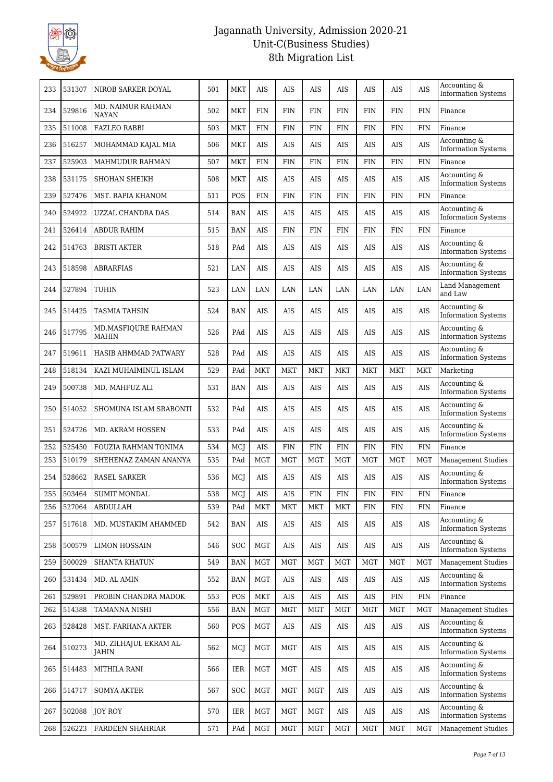

| 233 | 531307 | NIROB SARKER DOYAL                  | 501 | <b>MKT</b> | <b>AIS</b> | AIS        | AIS         | AIS         | AIS         | AIS         | <b>AIS</b> | Accounting &<br><b>Information Systems</b> |
|-----|--------|-------------------------------------|-----|------------|------------|------------|-------------|-------------|-------------|-------------|------------|--------------------------------------------|
| 234 | 529816 | MD. NAIMUR RAHMAN<br><b>NAYAN</b>   | 502 | <b>MKT</b> | <b>FIN</b> | <b>FIN</b> | <b>FIN</b>  | <b>FIN</b>  | <b>FIN</b>  | <b>FIN</b>  | <b>FIN</b> | Finance                                    |
| 235 | 511008 | <b>FAZLEO RABBI</b>                 | 503 | <b>MKT</b> | <b>FIN</b> | <b>FIN</b> | <b>FIN</b>  | <b>FIN</b>  | <b>FIN</b>  | <b>FIN</b>  | <b>FIN</b> | Finance                                    |
| 236 | 516257 | MOHAMMAD KAJAL MIA                  | 506 | <b>MKT</b> | <b>AIS</b> | <b>AIS</b> | AIS         | <b>AIS</b>  | AIS         | AIS         | <b>AIS</b> | Accounting &<br><b>Information Systems</b> |
| 237 | 525903 | MAHMUDUR RAHMAN                     | 507 | <b>MKT</b> | <b>FIN</b> | <b>FIN</b> | <b>FIN</b>  | <b>FIN</b>  | <b>FIN</b>  | <b>FIN</b>  | <b>FIN</b> | Finance                                    |
| 238 | 531175 | <b>SHOHAN SHEIKH</b>                | 508 | <b>MKT</b> | AIS        | AIS        | AIS         | AIS         | AIS         | AIS         | <b>AIS</b> | Accounting &<br><b>Information Systems</b> |
| 239 | 527476 | MST. RAPIA KHANOM                   | 511 | POS        | <b>FIN</b> | <b>FIN</b> | <b>FIN</b>  | <b>FIN</b>  | <b>FIN</b>  | <b>FIN</b>  | <b>FIN</b> | Finance                                    |
| 240 | 524922 | <b>UZZAL CHANDRA DAS</b>            | 514 | <b>BAN</b> | <b>AIS</b> | <b>AIS</b> | <b>AIS</b>  | <b>AIS</b>  | AIS         | AIS         | <b>AIS</b> | Accounting &<br><b>Information Systems</b> |
| 241 | 526414 | <b>ABDUR RAHIM</b>                  | 515 | <b>BAN</b> | <b>AIS</b> | <b>FIN</b> | <b>FIN</b>  | <b>FIN</b>  | <b>FIN</b>  | <b>FIN</b>  | <b>FIN</b> | Finance                                    |
| 242 | 514763 | <b>BRISTI AKTER</b>                 | 518 | PAd        | AIS        | AIS        | AIS         | AIS         | AIS         | AIS         | <b>AIS</b> | Accounting &<br><b>Information Systems</b> |
| 243 | 518598 | <b>ABRARFIAS</b>                    | 521 | LAN        | <b>AIS</b> | <b>AIS</b> | AIS         | <b>AIS</b>  | <b>AIS</b>  | AIS         | <b>AIS</b> | Accounting &<br><b>Information Systems</b> |
| 244 | 527894 | TUHIN                               | 523 | LAN        | LAN        | LAN        | LAN         | LAN         | LAN         | LAN         | LAN        | Land Management<br>and Law                 |
| 245 | 514425 | TASMIA TAHSIN                       | 524 | <b>BAN</b> | <b>AIS</b> | AIS        | AIS         | <b>AIS</b>  | AIS         | AIS         | AIS        | Accounting &<br><b>Information Systems</b> |
| 246 | 517795 | MD.MASFIQURE RAHMAN<br><b>MAHIN</b> | 526 | PAd        | <b>AIS</b> | <b>AIS</b> | AIS         | AIS         | AIS         | AIS         | <b>AIS</b> | Accounting &<br><b>Information Systems</b> |
| 247 | 519611 | HASIB AHMMAD PATWARY                | 528 | PAd        | <b>AIS</b> | <b>AIS</b> | AIS         | AIS         | AIS         | AIS         | AIS        | Accounting &<br><b>Information Systems</b> |
| 248 | 518134 | KAZI MUHAIMINUL ISLAM               | 529 | PAd        | <b>MKT</b> | <b>MKT</b> | MKT         | <b>MKT</b>  | <b>MKT</b>  | <b>MKT</b>  | MKT        | Marketing                                  |
| 249 | 500738 | MD. MAHFUZ ALI                      | 531 | <b>BAN</b> | <b>AIS</b> | AIS        | AIS         | AIS         | AIS         | AIS         | AIS        | Accounting &<br>Information Systems        |
| 250 | 514052 | SHOMUNA ISLAM SRABONTI              | 532 | PAd        | AIS        | AIS        | AIS         | AIS         | AIS         | AIS         | AIS        | Accounting &<br><b>Information Systems</b> |
| 251 | 524726 | MD. AKRAM HOSSEN                    | 533 | PAd        | AIS        | <b>AIS</b> | AIS         | AIS         | AIS         | AIS         | <b>AIS</b> | Accounting &<br><b>Information Systems</b> |
| 252 | 525450 | FOUZIA RAHMAN TONIMA                | 534 | MCJ        | <b>AIS</b> | <b>FIN</b> | <b>FIN</b>  | <b>FIN</b>  | <b>FIN</b>  | <b>FIN</b>  | <b>FIN</b> | Finance                                    |
| 253 | 510179 | SHEHENAZ ZAMAN ANANYA               | 535 | PAd        | <b>MGT</b> | <b>MGT</b> | <b>MGT</b>  | <b>MGT</b>  | <b>MGT</b>  | <b>MGT</b>  | <b>MGT</b> | <b>Management Studies</b>                  |
| 254 | 528662 | <b>RASEL SARKER</b>                 | 536 | MCJ        | AIS        | AIS        | AIS         | AIS         | AIS         | AIS         | AIS        | Accounting &<br><b>Information Systems</b> |
| 255 | 503464 | SUMIT MONDAL                        | 538 | MCJ        | $\rm{AIS}$ | $\rm{AIS}$ | ${\rm FIN}$ | ${\rm FIN}$ | ${\rm FIN}$ | ${\rm FIN}$ | FIN        | Finance                                    |
| 256 | 527064 | <b>ABDULLAH</b>                     | 539 | PAd        | <b>MKT</b> | <b>MKT</b> | MKT         | <b>MKT</b>  | <b>FIN</b>  | <b>FIN</b>  | <b>FIN</b> | Finance                                    |
| 257 | 517618 | MD. MUSTAKIM AHAMMED                | 542 | <b>BAN</b> | AIS        | AIS        | AIS         | AIS         | AIS         | AIS         | <b>AIS</b> | Accounting &<br><b>Information Systems</b> |
| 258 | 500579 | <b>LIMON HOSSAIN</b>                | 546 | <b>SOC</b> | MGT        | AIS        | AIS         | AIS         | AIS         | AIS         | <b>AIS</b> | Accounting &<br><b>Information Systems</b> |
| 259 | 500029 | <b>SHANTA KHATUN</b>                | 549 | <b>BAN</b> | <b>MGT</b> | <b>MGT</b> | <b>MGT</b>  | <b>MGT</b>  | <b>MGT</b>  | <b>MGT</b>  | <b>MGT</b> | <b>Management Studies</b>                  |
| 260 | 531434 | MD. AL AMIN                         | 552 | <b>BAN</b> | MGT        | AIS        | AIS         | AIS         | AIS         | AIS         | AIS        | Accounting &<br><b>Information Systems</b> |
| 261 | 529891 | PROBIN CHANDRA MADOK                | 553 | POS        | <b>MKT</b> | $\rm AIS$  | AIS         | AIS         | AIS         | FIN         | <b>FIN</b> | Finance                                    |
| 262 | 514388 | TAMANNA NISHI                       | 556 | <b>BAN</b> | MGT        | <b>MGT</b> | <b>MGT</b>  | <b>MGT</b>  | <b>MGT</b>  | MGT         | <b>MGT</b> | <b>Management Studies</b>                  |
| 263 | 528428 | MST. FARHANA AKTER                  | 560 | POS        | MGT        | AIS        | AIS         | AIS         | AIS         | AIS         | <b>AIS</b> | Accounting &<br><b>Information Systems</b> |
| 264 | 510273 | MD. ZILHAJUL EKRAM AL-<br>JAHIN     | 562 | MCJ        | <b>MGT</b> | <b>MGT</b> | AIS         | AIS         | AIS         | AIS         | AIS        | Accounting &<br><b>Information Systems</b> |
| 265 | 514483 | MITHILA RANI                        | 566 | IER        | <b>MGT</b> | <b>MGT</b> | AIS         | AIS         | AIS         | AIS         | <b>AIS</b> | Accounting &<br><b>Information Systems</b> |
| 266 | 514717 | SOMYA AKTER                         | 567 | <b>SOC</b> | MGT        | MGT        | MGT         | AIS         | AIS         | AIS         | AIS        | Accounting &<br><b>Information Systems</b> |
| 267 | 502088 | <b>JOY ROY</b>                      | 570 | IER        | <b>MGT</b> | MGT        | MGT         | AIS         | AIS         | AIS         | <b>AIS</b> | Accounting &<br><b>Information Systems</b> |
| 268 | 526223 | FARDEEN SHAHRIAR                    | 571 | PAd        | MGT        | <b>MGT</b> | MGT         | <b>MGT</b>  | <b>MGT</b>  | MGT         | <b>MGT</b> | <b>Management Studies</b>                  |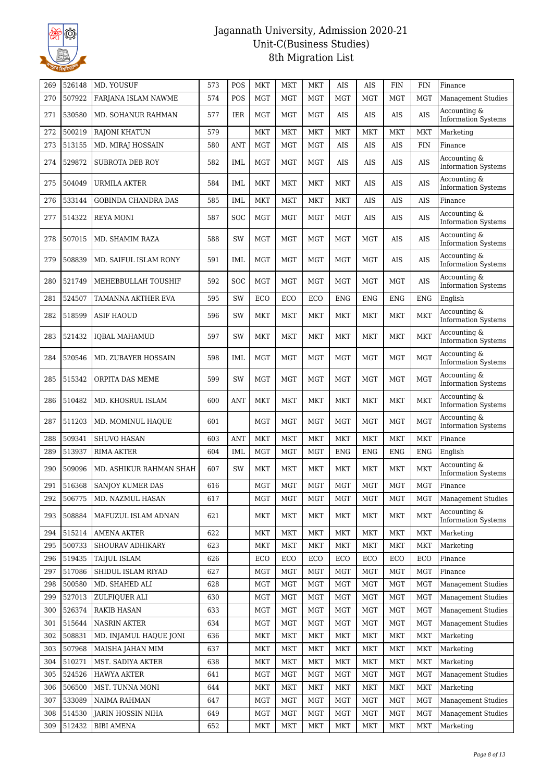

| 269        | 526148           | MD. YOUSUF                                | 573        | POS        | <b>MKT</b> | <b>MKT</b> | <b>MKT</b>               | <b>AIS</b>        | <b>AIS</b>               | <b>FIN</b>               | <b>FIN</b>               | Finance                                                |
|------------|------------------|-------------------------------------------|------------|------------|------------|------------|--------------------------|-------------------|--------------------------|--------------------------|--------------------------|--------------------------------------------------------|
| 270        | 507922           | FARJANA ISLAM NAWME                       | 574        | POS        | <b>MGT</b> | <b>MGT</b> | <b>MGT</b>               | <b>MGT</b>        | <b>MGT</b>               | <b>MGT</b>               | <b>MGT</b>               | <b>Management Studies</b>                              |
| 271        | 530580           | MD. SOHANUR RAHMAN                        | 577        | <b>IER</b> | <b>MGT</b> | <b>MGT</b> | <b>MGT</b>               | AIS               | AIS                      | AIS                      | <b>AIS</b>               | Accounting &<br><b>Information Systems</b>             |
| 272        | 500219           | <b>RAJONI KHATUN</b>                      | 579        |            | <b>MKT</b> | <b>MKT</b> | <b>MKT</b>               | <b>MKT</b>        | <b>MKT</b>               | <b>MKT</b>               | <b>MKT</b>               | Marketing                                              |
| 273        | 513155           | MD. MIRAJ HOSSAIN                         | 580        | <b>ANT</b> | <b>MGT</b> | <b>MGT</b> | <b>MGT</b>               | AIS               | AIS                      | AIS                      | <b>FIN</b>               | Finance                                                |
| 274        | 529872           | <b>SUBROTA DEB ROY</b>                    | 582        | IML        | <b>MGT</b> | <b>MGT</b> | <b>MGT</b>               | AIS               | <b>AIS</b>               | <b>AIS</b>               | <b>AIS</b>               | Accounting &<br><b>Information Systems</b>             |
| 275        | 504049           | URMILA AKTER                              | 584        | IML        | <b>MKT</b> | <b>MKT</b> | <b>MKT</b>               | MKT               | AIS                      | AIS                      | <b>AIS</b>               | Accounting &<br><b>Information Systems</b>             |
| 276        | 533144           | <b>GOBINDA CHANDRA DAS</b>                | 585        | IML        | <b>MKT</b> | <b>MKT</b> | <b>MKT</b>               | <b>MKT</b>        | AIS                      | <b>AIS</b>               | AIS                      | Finance                                                |
| 277        | 514322           | REYA MONI                                 | 587        | SOC        | <b>MGT</b> | <b>MGT</b> | <b>MGT</b>               | MGT               | AIS                      | <b>AIS</b>               | <b>AIS</b>               | Accounting &<br><b>Information Systems</b>             |
| 278        | 507015           | MD. SHAMIM RAZA                           | 588        | SW         | <b>MGT</b> | <b>MGT</b> | <b>MGT</b>               | MGT               | <b>MGT</b>               | AIS                      | <b>AIS</b>               | Accounting &<br><b>Information Systems</b>             |
| 279        | 508839           | MD. SAIFUL ISLAM RONY                     | 591        | <b>IML</b> | MGT        | <b>MGT</b> | <b>MGT</b>               | <b>MGT</b>        | <b>MGT</b>               | AIS                      | <b>AIS</b>               | Accounting &<br><b>Information Systems</b>             |
| 280        | 521749           | MEHEBBULLAH TOUSHIF                       | 592        | SOC        | <b>MGT</b> | <b>MGT</b> | <b>MGT</b>               | <b>MGT</b>        | <b>MGT</b>               | <b>MGT</b>               | <b>AIS</b>               | Accounting &<br><b>Information Systems</b>             |
| 281        | 524507           | TAMANNA AKTHER EVA                        | 595        | SW         | ECO        | ECO        | ECO                      | <b>ENG</b>        | <b>ENG</b>               | <b>ENG</b>               | <b>ENG</b>               | English                                                |
| 282        | 518599           | ASIF HAOUD                                | 596        | SW         | MKT        | <b>MKT</b> | <b>MKT</b>               | <b>MKT</b>        | <b>MKT</b>               | <b>MKT</b>               | <b>MKT</b>               | Accounting &<br><b>Information Systems</b>             |
| 283        | 521432           | <b>IOBAL MAHAMUD</b>                      | 597        | SW         | <b>MKT</b> | <b>MKT</b> | <b>MKT</b>               | <b>MKT</b>        | <b>MKT</b>               | <b>MKT</b>               | <b>MKT</b>               | Accounting &<br><b>Information Systems</b>             |
| 284        | 520546           | <b>MD. ZUBAYER HOSSAIN</b>                | 598        | IML        | <b>MGT</b> | <b>MGT</b> | <b>MGT</b>               | <b>MGT</b>        | <b>MGT</b>               | <b>MGT</b>               | <b>MGT</b>               | Accounting &<br><b>Information Systems</b>             |
| 285        | 515342           | ORPITA DAS MEME                           | 599        | SW         | <b>MGT</b> | <b>MGT</b> | <b>MGT</b>               | <b>MGT</b>        | <b>MGT</b>               | <b>MGT</b>               | <b>MGT</b>               | Accounting &<br><b>Information Systems</b>             |
| 286        | 510482           | MD. KHOSRUL ISLAM                         | 600        | ANT        | <b>MKT</b> | <b>MKT</b> | <b>MKT</b>               | MKT               | <b>MKT</b>               | <b>MKT</b>               | <b>MKT</b>               | Accounting &<br><b>Information Systems</b>             |
| 287        | 511203           | MD. MOMINUL HAQUE                         | 601        |            | <b>MGT</b> | <b>MGT</b> | <b>MGT</b>               | <b>MGT</b>        | <b>MGT</b>               | <b>MGT</b>               | <b>MGT</b>               | Accounting &<br><b>Information Systems</b>             |
| 288        | 509341           | <b>SHUVO HASAN</b>                        | 603        | <b>ANT</b> | <b>MKT</b> | <b>MKT</b> | <b>MKT</b>               | <b>MKT</b>        | <b>MKT</b>               | <b>MKT</b>               | <b>MKT</b>               | Finance                                                |
| 289        | 513937           | <b>RIMA AKTER</b>                         | 604        | <b>IML</b> | <b>MGT</b> | <b>MGT</b> | <b>MGT</b>               | <b>ENG</b>        | <b>ENG</b>               | <b>ENG</b>               | <b>ENG</b>               | English                                                |
| 290        | 509096           | MD. ASHIKUR RAHMAN SHAH                   | 607        | SW         | MKT        | <b>MKT</b> | <b>MKT</b>               | MKT               | <b>MKT</b>               | <b>MKT</b>               | <b>MKT</b>               | Accounting &<br><b>Information Systems</b>             |
| 291        | 516368           | <b>SANJOY KUMER DAS</b>                   | 616        |            | <b>MGT</b> | <b>MGT</b> | <b>MGT</b>               | <b>MGT</b>        | <b>MGT</b>               | <b>MGT</b>               | <b>MGT</b>               | Finance                                                |
| 292        | 506775           | MD. NAZMUL HASAN                          | 617        |            | MGT        | MGT        | $\rm MGT$                | $\rm MGT$         | <b>MGT</b>               | <b>MGT</b>               | <b>MGT</b>               | <b>Management Studies</b>                              |
| 293        | 508884           | MAFUZUL ISLAM ADNAN                       | 621        |            | <b>MKT</b> | <b>MKT</b> | MKT                      | <b>MKT</b>        | <b>MKT</b>               | <b>MKT</b>               | <b>MKT</b>               | Accounting &<br><b>Information Systems</b>             |
| 294        | 515214           | <b>AMENA AKTER</b>                        | 622        |            | MKT        | <b>MKT</b> | MKT                      | MKT               | <b>MKT</b>               | <b>MKT</b>               | <b>MKT</b>               | Marketing                                              |
| 295        | 500733           | SHOURAV ADHIKARY                          | 623        |            | <b>MKT</b> | <b>MKT</b> | <b>MKT</b>               | <b>MKT</b>        | <b>MKT</b>               | <b>MKT</b>               | <b>MKT</b>               | Marketing                                              |
| 296        | 519435           | TAIJUL ISLAM                              | 626        |            | ECO        | ECO        | ECO                      | ECO               | ECO                      | ECO                      | ECO                      | Finance                                                |
| 297        | 517086           | SHIDUL ISLAM RIYAD                        | 627        |            | <b>MGT</b> | <b>MGT</b> | <b>MGT</b>               | <b>MGT</b>        | <b>MGT</b>               | <b>MGT</b>               | <b>MGT</b>               | Finance                                                |
| 298        | 500580           | MD. SHAHED ALI                            | 628        |            | <b>MGT</b> | <b>MGT</b> | <b>MGT</b>               | <b>MGT</b>        | <b>MGT</b>               | <b>MGT</b>               | MGT                      | <b>Management Studies</b>                              |
| 299        | 527013           | ZULFIQUER ALI                             | 630        |            | <b>MGT</b> | <b>MGT</b> | <b>MGT</b><br><b>MGT</b> | <b>MGT</b>        | <b>MGT</b><br><b>MGT</b> | <b>MGT</b>               | <b>MGT</b>               | <b>Management Studies</b><br><b>Management Studies</b> |
| 300<br>301 | 526374<br>515644 | <b>RAKIB HASAN</b><br><b>NASRIN AKTER</b> | 633<br>634 |            | MGT<br>MGT | MGT<br>MGT | <b>MGT</b>               | MGT<br><b>MGT</b> | <b>MGT</b>               | <b>MGT</b><br><b>MGT</b> | <b>MGT</b><br><b>MGT</b> | <b>Management Studies</b>                              |
| 302        | 508831           | MD. INJAMUL HAQUE JONI                    | 636        |            | <b>MKT</b> | <b>MKT</b> | <b>MKT</b>               | <b>MKT</b>        | <b>MKT</b>               | <b>MKT</b>               | <b>MKT</b>               | Marketing                                              |
| 303        | 507968           | MAISHA JAHAN MIM                          | 637        |            | MKT        | <b>MKT</b> | <b>MKT</b>               | MKT               | MKT                      | MKT                      | <b>MKT</b>               | Marketing                                              |
| 304        | 510271           | MST. SADIYA AKTER                         | 638        |            | <b>MKT</b> | <b>MKT</b> | <b>MKT</b>               | <b>MKT</b>        | <b>MKT</b>               | <b>MKT</b>               | <b>MKT</b>               | Marketing                                              |
| 305        | 524526           | <b>HAWYA AKTER</b>                        | 641        |            | <b>MGT</b> | <b>MGT</b> | <b>MGT</b>               | <b>MGT</b>        | <b>MGT</b>               | <b>MGT</b>               | <b>MGT</b>               | <b>Management Studies</b>                              |
| 306        | 506500           | MST. TUNNA MONI                           | 644        |            | <b>MKT</b> | <b>MKT</b> | <b>MKT</b>               | <b>MKT</b>        | <b>MKT</b>               | <b>MKT</b>               | <b>MKT</b>               | Marketing                                              |
| 307        | 533089           | <b>NAIMA RAHMAN</b>                       | 647        |            | <b>MGT</b> | <b>MGT</b> | <b>MGT</b>               | <b>MGT</b>        | <b>MGT</b>               | <b>MGT</b>               | <b>MGT</b>               | <b>Management Studies</b>                              |
| 308        | 514530           | JARIN HOSSIN NIHA                         | 649        |            | <b>MGT</b> | <b>MGT</b> | <b>MGT</b>               | <b>MGT</b>        | <b>MGT</b>               | <b>MGT</b>               | <b>MGT</b>               | <b>Management Studies</b>                              |
| 309        | 512432           | <b>BIBI AMENA</b>                         | 652        |            | MKT        | <b>MKT</b> | <b>MKT</b>               | <b>MKT</b>        | <b>MKT</b>               | <b>MKT</b>               | MKT                      | Marketing                                              |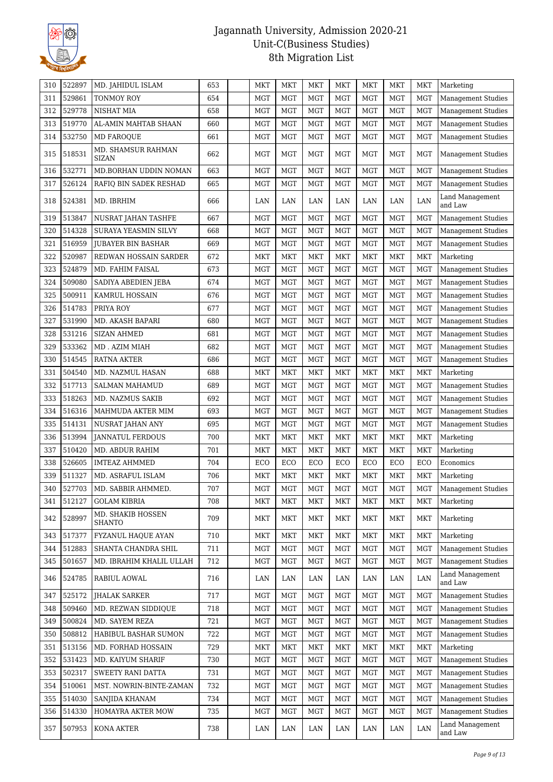

| 310 | 522897 | MD. JAHIDUL ISLAM                  | 653 | <b>MKT</b> | <b>MKT</b> | <b>MKT</b> | MKT        | <b>MKT</b> | <b>MKT</b> | <b>MKT</b> | Marketing                  |
|-----|--------|------------------------------------|-----|------------|------------|------------|------------|------------|------------|------------|----------------------------|
| 311 | 529861 | TONMOY ROY                         | 654 | <b>MGT</b> | <b>MGT</b> | <b>MGT</b> | <b>MGT</b> | <b>MGT</b> | <b>MGT</b> | <b>MGT</b> | Management Studies         |
| 312 | 529778 | <b>NISHAT MIA</b>                  | 658 | <b>MGT</b> | <b>MGT</b> | <b>MGT</b> | MGT        | <b>MGT</b> | <b>MGT</b> | <b>MGT</b> | Management Studies         |
| 313 | 519770 | AL-AMIN MAHTAB SHAAN               | 660 | <b>MGT</b> | <b>MGT</b> | <b>MGT</b> | <b>MGT</b> | <b>MGT</b> | <b>MGT</b> | <b>MGT</b> | <b>Management Studies</b>  |
| 314 | 532750 | <b>MD FAROQUE</b>                  | 661 | <b>MGT</b> | <b>MGT</b> | <b>MGT</b> | <b>MGT</b> | <b>MGT</b> | <b>MGT</b> | <b>MGT</b> | <b>Management Studies</b>  |
| 315 | 518531 | MD. SHAMSUR RAHMAN<br><b>SIZAN</b> | 662 | <b>MGT</b> | <b>MGT</b> | <b>MGT</b> | <b>MGT</b> | <b>MGT</b> | <b>MGT</b> | <b>MGT</b> | <b>Management Studies</b>  |
| 316 | 532771 | MD.BORHAN UDDIN NOMAN              | 663 | <b>MGT</b> | <b>MGT</b> | <b>MGT</b> | <b>MGT</b> | <b>MGT</b> | <b>MGT</b> | <b>MGT</b> | Management Studies         |
| 317 | 526124 | RAFIQ BIN SADEK RESHAD             | 665 | <b>MGT</b> | <b>MGT</b> | <b>MGT</b> | <b>MGT</b> | <b>MGT</b> | <b>MGT</b> | <b>MGT</b> | Management Studies         |
| 318 | 524381 | MD. IBRHIM                         | 666 | LAN        | LAN        | LAN        | LAN        | LAN        | LAN        | LAN        | Land Management<br>and Law |
| 319 | 513847 | NUSRAT JAHAN TASHFE                | 667 | <b>MGT</b> | <b>MGT</b> | <b>MGT</b> | <b>MGT</b> | <b>MGT</b> | <b>MGT</b> | <b>MGT</b> | <b>Management Studies</b>  |
| 320 | 514328 | SURAYA YEASMIN SILVY               | 668 | <b>MGT</b> | <b>MGT</b> | <b>MGT</b> | <b>MGT</b> | <b>MGT</b> | <b>MGT</b> | <b>MGT</b> | <b>Management Studies</b>  |
| 321 | 516959 | JUBAYER BIN BASHAR                 | 669 | <b>MGT</b> | <b>MGT</b> | <b>MGT</b> | <b>MGT</b> | <b>MGT</b> | <b>MGT</b> | <b>MGT</b> | Management Studies         |
| 322 | 520987 | REDWAN HOSSAIN SARDER              | 672 | <b>MKT</b> | <b>MKT</b> | <b>MKT</b> | <b>MKT</b> | <b>MKT</b> | <b>MKT</b> | <b>MKT</b> | Marketing                  |
| 323 | 524879 | MD. FAHIM FAISAL                   | 673 | <b>MGT</b> | <b>MGT</b> | <b>MGT</b> | <b>MGT</b> | <b>MGT</b> | <b>MGT</b> | <b>MGT</b> | <b>Management Studies</b>  |
| 324 | 509080 | SADIYA ABEDIEN JEBA                | 674 | <b>MGT</b> | <b>MGT</b> | <b>MGT</b> | <b>MGT</b> | <b>MGT</b> | <b>MGT</b> | <b>MGT</b> | Management Studies         |
| 325 | 500911 | KAMRUL HOSSAIN                     | 676 | <b>MGT</b> | <b>MGT</b> | <b>MGT</b> | <b>MGT</b> | <b>MGT</b> | <b>MGT</b> | <b>MGT</b> | Management Studies         |
| 326 | 514783 | PRIYA ROY                          | 677 | <b>MGT</b> | <b>MGT</b> | <b>MGT</b> | <b>MGT</b> | <b>MGT</b> | <b>MGT</b> | <b>MGT</b> | <b>Management Studies</b>  |
| 327 | 531990 | MD. AKASH BAPARI                   | 680 | <b>MGT</b> | <b>MGT</b> | <b>MGT</b> | <b>MGT</b> | <b>MGT</b> | <b>MGT</b> | <b>MGT</b> | <b>Management Studies</b>  |
| 328 | 531216 | <b>SIZAN AHMED</b>                 | 681 | <b>MGT</b> | <b>MGT</b> | <b>MGT</b> | <b>MGT</b> | <b>MGT</b> | <b>MGT</b> | <b>MGT</b> | Management Studies         |
| 329 | 533362 | MD. AZIM MIAH                      | 682 | <b>MGT</b> | <b>MGT</b> | <b>MGT</b> | <b>MGT</b> | <b>MGT</b> | <b>MGT</b> | <b>MGT</b> | <b>Management Studies</b>  |
| 330 | 514545 | RATNA AKTER                        | 686 | <b>MGT</b> | <b>MGT</b> | <b>MGT</b> | <b>MGT</b> | <b>MGT</b> | <b>MGT</b> | <b>MGT</b> | <b>Management Studies</b>  |
| 331 | 504540 | MD. NAZMUL HASAN                   | 688 | <b>MKT</b> | MKT        | <b>MKT</b> | MKT        | <b>MKT</b> | <b>MKT</b> | <b>MKT</b> | Marketing                  |
| 332 | 517713 | SALMAN MAHAMUD                     | 689 | <b>MGT</b> | <b>MGT</b> | <b>MGT</b> | <b>MGT</b> | <b>MGT</b> | <b>MGT</b> | <b>MGT</b> | <b>Management Studies</b>  |
| 333 | 518263 | MD. NAZMUS SAKIB                   | 692 | <b>MGT</b> | <b>MGT</b> | <b>MGT</b> | <b>MGT</b> | <b>MGT</b> | <b>MGT</b> | <b>MGT</b> | <b>Management Studies</b>  |
| 334 | 516316 | MAHMUDA AKTER MIM                  | 693 | <b>MGT</b> | <b>MGT</b> | <b>MGT</b> | <b>MGT</b> | <b>MGT</b> | <b>MGT</b> | <b>MGT</b> | <b>Management Studies</b>  |
| 335 | 514131 | NUSRAT JAHAN ANY                   | 695 | <b>MGT</b> | <b>MGT</b> | <b>MGT</b> | <b>MGT</b> | <b>MGT</b> | <b>MGT</b> | <b>MGT</b> | <b>Management Studies</b>  |
| 336 | 513994 | <b>JANNATUL FERDOUS</b>            | 700 | MKT        | <b>MKT</b> | MKT        | <b>MKT</b> | <b>MKT</b> | <b>MKT</b> | <b>MKT</b> | Marketing                  |
| 337 | 510420 | MD. ABDUR RAHIM                    | 701 | <b>MKT</b> | <b>MKT</b> | <b>MKT</b> | MKT        | <b>MKT</b> | <b>MKT</b> | <b>MKT</b> | Marketing                  |
| 338 | 526605 | <b>IMTEAZ AHMMED</b>               | 704 | ECO        | ECO        | ECO        | ECO        | ECO        | ECO        | ECO        | Economics                  |
| 339 | 511327 | MD. ASRAFUL ISLAM                  | 706 | <b>MKT</b> | <b>MKT</b> | <b>MKT</b> | MKT        | <b>MKT</b> | <b>MKT</b> | <b>MKT</b> | Marketing                  |
| 340 | 527703 | MD. SABBIR AHMMED.                 | 707 | <b>MGT</b> | <b>MGT</b> | <b>MGT</b> | <b>MGT</b> | <b>MGT</b> | <b>MGT</b> | <b>MGT</b> | Management Studies         |
| 341 | 512127 | <b>GOLAM KIBRIA</b>                | 708 | <b>MKT</b> | <b>MKT</b> | MKT        | MKT        | <b>MKT</b> | <b>MKT</b> | <b>MKT</b> | Marketing                  |
| 342 | 528997 | MD. SHAKIB HOSSEN<br><b>SHANTO</b> | 709 | <b>MKT</b> | <b>MKT</b> | <b>MKT</b> | <b>MKT</b> | <b>MKT</b> | <b>MKT</b> | <b>MKT</b> | Marketing                  |
| 343 | 517377 | FYZANUL HAQUE AYAN                 | 710 | <b>MKT</b> | <b>MKT</b> | MKT        | MKT        | <b>MKT</b> | <b>MKT</b> | <b>MKT</b> | Marketing                  |
| 344 | 512883 | SHANTA CHANDRA SHIL                | 711 | <b>MGT</b> | MGT        | <b>MGT</b> | <b>MGT</b> | <b>MGT</b> | <b>MGT</b> | <b>MGT</b> | <b>Management Studies</b>  |
| 345 | 501657 | MD. IBRAHIM KHALIL ULLAH           | 712 | <b>MGT</b> | <b>MGT</b> | <b>MGT</b> | <b>MGT</b> | <b>MGT</b> | <b>MGT</b> | <b>MGT</b> | <b>Management Studies</b>  |
| 346 | 524785 | RABIUL AOWAL                       | 716 | LAN        | LAN        | LAN        | LAN        | LAN        | LAN        | LAN        | Land Management<br>and Law |
| 347 | 525172 | JHALAK SARKER                      | 717 | MGT        | <b>MGT</b> | <b>MGT</b> | MGT        | MGT        | <b>MGT</b> | <b>MGT</b> | <b>Management Studies</b>  |
| 348 | 509460 | MD. REZWAN SIDDIOUE                | 718 | <b>MGT</b> | MGT        | <b>MGT</b> | <b>MGT</b> | <b>MGT</b> | <b>MGT</b> | <b>MGT</b> | <b>Management Studies</b>  |
| 349 | 500824 | MD. SAYEM REZA                     | 721 | <b>MGT</b> | MGT        | <b>MGT</b> | <b>MGT</b> | <b>MGT</b> | <b>MGT</b> | <b>MGT</b> | <b>Management Studies</b>  |
| 350 | 508812 | HABIBUL BASHAR SUMON               | 722 | <b>MGT</b> | <b>MGT</b> | <b>MGT</b> | <b>MGT</b> | <b>MGT</b> | <b>MGT</b> | <b>MGT</b> | <b>Management Studies</b>  |
| 351 | 513156 | MD. FORHAD HOSSAIN                 | 729 | <b>MKT</b> | <b>MKT</b> | <b>MKT</b> | MKT        | <b>MKT</b> | <b>MKT</b> | <b>MKT</b> | Marketing                  |
| 352 | 531423 | MD. KAIYUM SHARIF                  | 730 | MGT        | MGT        | <b>MGT</b> | <b>MGT</b> | <b>MGT</b> | <b>MGT</b> | <b>MGT</b> | Management Studies         |
| 353 | 502317 | SWEETY RANI DATTA                  | 731 | <b>MGT</b> | <b>MGT</b> | <b>MGT</b> | <b>MGT</b> | <b>MGT</b> | <b>MGT</b> | <b>MGT</b> | <b>Management Studies</b>  |
| 354 | 510061 | MST. NOWRIN-BINTE-ZAMAN            | 732 | <b>MGT</b> | MGT        | <b>MGT</b> | <b>MGT</b> | <b>MGT</b> | <b>MGT</b> | <b>MGT</b> | <b>Management Studies</b>  |
| 355 | 514030 | SANJIDA KHANAM                     | 734 | <b>MGT</b> | <b>MGT</b> | <b>MGT</b> | <b>MGT</b> | <b>MGT</b> | <b>MGT</b> | <b>MGT</b> | <b>Management Studies</b>  |
| 356 | 514330 | HOMAYRA AKTER MOW                  | 735 | MGT        | <b>MGT</b> | <b>MGT</b> | <b>MGT</b> | <b>MGT</b> | <b>MGT</b> | <b>MGT</b> | <b>Management Studies</b>  |
| 357 | 507953 | KONA AKTER                         | 738 | LAN        | LAN        | LAN        | LAN        | LAN        | LAN        | LAN        | Land Management<br>and Law |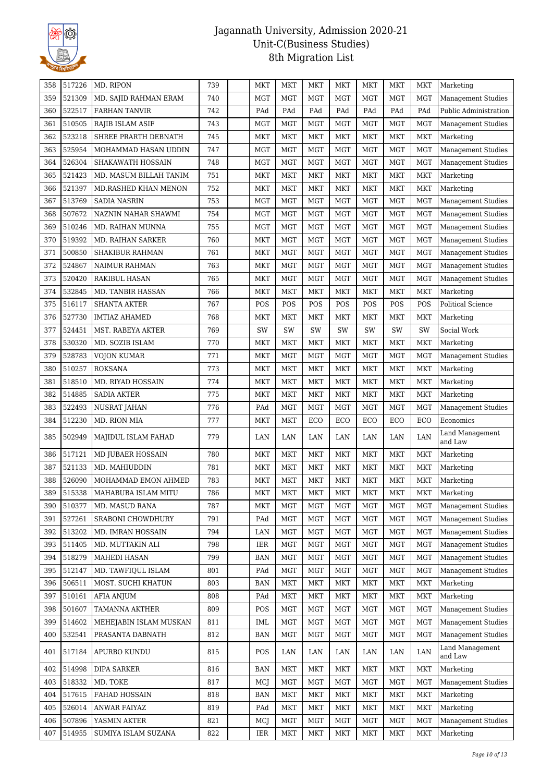

| 358 | 517226 | MD. RIPON                    | 739 | MKT        | MKT        | <b>MKT</b> | <b>MKT</b> | <b>MKT</b> | <b>MKT</b> | <b>MKT</b> | Marketing                         |
|-----|--------|------------------------------|-----|------------|------------|------------|------------|------------|------------|------------|-----------------------------------|
| 359 | 521309 | MD. SAJID RAHMAN ERAM        | 740 | <b>MGT</b> | <b>MGT</b> | <b>MGT</b> | <b>MGT</b> | <b>MGT</b> | <b>MGT</b> | <b>MGT</b> | <b>Management Studies</b>         |
| 360 | 522517 | <b>FARHAN TANVIR</b>         | 742 | PAd        | PAd        | PAd        | PAd        | PAd        | PAd        | PAd        | Public Administration             |
| 361 | 510505 | RAJIB ISLAM ASIF             | 743 | MGT        | <b>MGT</b> | <b>MGT</b> | <b>MGT</b> | <b>MGT</b> | <b>MGT</b> | <b>MGT</b> | <b>Management Studies</b>         |
| 362 | 523218 | SHREE PRARTH DEBNATH         | 745 | <b>MKT</b> | <b>MKT</b> | <b>MKT</b> | <b>MKT</b> | <b>MKT</b> | <b>MKT</b> | <b>MKT</b> | Marketing                         |
| 363 | 525954 | MOHAMMAD HASAN UDDIN         | 747 | <b>MGT</b> | MGT        | <b>MGT</b> | <b>MGT</b> | <b>MGT</b> | <b>MGT</b> | <b>MGT</b> | Management Studies                |
| 364 | 526304 | SHAKAWATH HOSSAIN            | 748 | <b>MGT</b> | <b>MGT</b> | <b>MGT</b> | <b>MGT</b> | <b>MGT</b> | <b>MGT</b> | <b>MGT</b> | <b>Management Studies</b>         |
| 365 | 521423 | MD. MASUM BILLAH TANIM       | 751 | MKT        | MKT        | <b>MKT</b> | MKT        | <b>MKT</b> | <b>MKT</b> | <b>MKT</b> | Marketing                         |
| 366 | 521397 | MD.RASHED KHAN MENON         | 752 | <b>MKT</b> | <b>MKT</b> | <b>MKT</b> | MKT        | <b>MKT</b> | MKT        | <b>MKT</b> | Marketing                         |
| 367 | 513769 | <b>SADIA NASRIN</b>          | 753 | <b>MGT</b> | <b>MGT</b> | <b>MGT</b> | <b>MGT</b> | <b>MGT</b> | <b>MGT</b> | <b>MGT</b> | <b>Management Studies</b>         |
| 368 | 507672 | NAZNIN NAHAR SHAWMI          | 754 | MGT        | <b>MGT</b> | <b>MGT</b> | <b>MGT</b> | <b>MGT</b> | <b>MGT</b> | <b>MGT</b> | <b>Management Studies</b>         |
| 369 | 510246 | MD. RAIHAN MUNNA             | 755 | MGT        | <b>MGT</b> | <b>MGT</b> | <b>MGT</b> | <b>MGT</b> | <b>MGT</b> | <b>MGT</b> | <b>Management Studies</b>         |
| 370 | 519392 | MD. RAIHAN SARKER            | 760 | <b>MKT</b> | <b>MGT</b> | <b>MGT</b> | MGT        | <b>MGT</b> | <b>MGT</b> | <b>MGT</b> | <b>Management Studies</b>         |
| 371 | 500850 | SHAKIBUR RAHMAN              | 761 | MKT        | <b>MGT</b> | <b>MGT</b> | <b>MGT</b> | <b>MGT</b> | <b>MGT</b> | <b>MGT</b> | Management Studies                |
| 372 | 524867 | NAIMUR RAHMAN                | 763 | MKT        | MGT        | <b>MGT</b> | <b>MGT</b> | <b>MGT</b> | <b>MGT</b> | <b>MGT</b> | <b>Management Studies</b>         |
| 373 | 520420 | <b>RAKIBUL HASAN</b>         | 765 | MKT        | <b>MGT</b> | <b>MGT</b> | <b>MGT</b> | <b>MGT</b> | <b>MGT</b> | <b>MGT</b> | <b>Management Studies</b>         |
| 374 | 532845 | MD. TANBIR HASSAN            | 766 | <b>MKT</b> | MKT        | <b>MKT</b> | MKT        | <b>MKT</b> | <b>MKT</b> | <b>MKT</b> | Marketing                         |
| 375 | 516117 | <b>SHANTA AKTER</b>          | 767 | POS        | POS        | POS        | POS        | POS        | POS        | POS        | Political Science                 |
| 376 | 527730 | <b>IMTIAZ AHAMED</b>         | 768 | <b>MKT</b> | MKT        | <b>MKT</b> | <b>MKT</b> | <b>MKT</b> | MKT        | <b>MKT</b> | Marketing                         |
| 377 | 524451 | MST. RABEYA AKTER            | 769 | SW         | SW         | SW         | SW         | SW         | SW         | SW         | Social Work                       |
| 378 | 530320 | MD. SOZIB ISLAM              | 770 | <b>MKT</b> | <b>MKT</b> | <b>MKT</b> | MKT        | <b>MKT</b> | MKT        | <b>MKT</b> | Marketing                         |
| 379 | 528783 | VOJON KUMAR                  | 771 | MKT        | <b>MGT</b> | <b>MGT</b> | MGT        | MGT        | MGT        | MGT        | <b>Management Studies</b>         |
| 380 | 510257 | <b>ROKSANA</b>               | 773 | <b>MKT</b> | <b>MKT</b> | <b>MKT</b> | MKT        | <b>MKT</b> | <b>MKT</b> | <b>MKT</b> | Marketing                         |
| 381 | 518510 | MD. RIYAD HOSSAIN            | 774 | <b>MKT</b> | <b>MKT</b> | <b>MKT</b> | MKT        | <b>MKT</b> | <b>MKT</b> | <b>MKT</b> | Marketing                         |
| 382 | 514885 | SADIA AKTER                  | 775 | <b>MKT</b> | <b>MKT</b> | <b>MKT</b> | MKT        | <b>MKT</b> | <b>MKT</b> | <b>MKT</b> | Marketing                         |
| 383 | 522493 | NUSRAT JAHAN                 | 776 | PAd        | <b>MGT</b> | <b>MGT</b> | <b>MGT</b> | <b>MGT</b> | <b>MGT</b> | <b>MGT</b> | <b>Management Studies</b>         |
| 384 | 512230 | MD. RION MIA                 | 777 | MKT        | <b>MKT</b> | ECO        | ECO        | ECO        | ECO        | ECO        | Economics                         |
| 385 | 502949 | MAJIDUL ISLAM FAHAD          | 779 | LAN        | LAN        | LAN        | LAN        | LAN        | LAN        | LAN        | Land Management<br>and Law        |
| 386 | 517121 | <b>MD JUBAER HOSSAIN</b>     | 780 | MKT        | MKT        | <b>MKT</b> | <b>MKT</b> | <b>MKT</b> | <b>MKT</b> | <b>MKT</b> | Marketing                         |
| 387 | 521133 | MD. MAHIUDDIN                | 781 | <b>MKT</b> | MKT        | <b>MKT</b> | MKT        | MKT        | MKT        | MKT        | Marketing                         |
| 388 | 526090 | MOHAMMAD EMON AHMED          | 783 | <b>MKT</b> | MKT        | <b>MKT</b> | MKT        | <b>MKT</b> | <b>MKT</b> | <b>MKT</b> | Marketing                         |
| 389 |        | 515338   MAHABUBA ISLAM MITU | 786 | MKT        | MKT        | MKT        | MKT        | MKT        | <b>MKT</b> | MKT        | Marketing                         |
| 390 | 510377 | MD. MASUD RANA               | 787 | MKT        | <b>MGT</b> | <b>MGT</b> | <b>MGT</b> | <b>MGT</b> | <b>MGT</b> | MGT        | Management Studies                |
| 391 | 527261 | SRABONI CHOWDHURY            | 791 | PAd        | <b>MGT</b> | <b>MGT</b> | <b>MGT</b> | <b>MGT</b> | <b>MGT</b> | <b>MGT</b> | Management Studies                |
| 392 | 513202 | MD. IMRAN HOSSAIN            | 794 | LAN        | <b>MGT</b> | <b>MGT</b> | MGT        | <b>MGT</b> | MGT        | <b>MGT</b> | <b>Management Studies</b>         |
| 393 | 511405 | MD. MUTTAKIN ALI             | 798 | <b>IER</b> | <b>MGT</b> | <b>MGT</b> | <b>MGT</b> | <b>MGT</b> | <b>MGT</b> | <b>MGT</b> | <b>Management Studies</b>         |
| 394 | 518279 | MAHEDI HASAN                 | 799 | <b>BAN</b> | <b>MGT</b> | <b>MGT</b> | <b>MGT</b> | <b>MGT</b> | <b>MGT</b> | <b>MGT</b> | <b>Management Studies</b>         |
| 395 | 512147 | MD. TAWFIQUL ISLAM           | 801 | PAd        | <b>MGT</b> | <b>MGT</b> | MGT        | <b>MGT</b> | <b>MGT</b> | MGT        | <b>Management Studies</b>         |
| 396 | 506511 | MOST. SUCHI KHATUN           | 803 | <b>BAN</b> | <b>MKT</b> | <b>MKT</b> | <b>MKT</b> | <b>MKT</b> | <b>MKT</b> | <b>MKT</b> | Marketing                         |
| 397 | 510161 | AFIA ANJUM                   | 808 | PAd        | <b>MKT</b> | <b>MKT</b> | <b>MKT</b> | <b>MKT</b> | <b>MKT</b> | <b>MKT</b> | Marketing                         |
| 398 | 501607 | <b>TAMANNA AKTHER</b>        | 809 | POS        | <b>MGT</b> | <b>MGT</b> | <b>MGT</b> | <b>MGT</b> | <b>MGT</b> | <b>MGT</b> | <b>Management Studies</b>         |
| 399 | 514602 | MEHEJABIN ISLAM MUSKAN       | 811 | IML        | <b>MGT</b> | <b>MGT</b> | MGT        | <b>MGT</b> | <b>MGT</b> | <b>MGT</b> | <b>Management Studies</b>         |
| 400 | 532541 | PRASANTA DABNATH             | 812 | <b>BAN</b> | <b>MGT</b> | <b>MGT</b> | <b>MGT</b> | <b>MGT</b> | <b>MGT</b> | <b>MGT</b> | <b>Management Studies</b>         |
| 401 | 517184 | APURBO KUNDU                 | 815 | POS        | LAN        | LAN        | LAN        | LAN        | LAN        | LAN        | <b>Land Management</b><br>and Law |
| 402 | 514998 | <b>DIPA SARKER</b>           | 816 | <b>BAN</b> | <b>MKT</b> | <b>MKT</b> | <b>MKT</b> | <b>MKT</b> | <b>MKT</b> | <b>MKT</b> | Marketing                         |
| 403 | 518332 | MD. TOKE                     | 817 | MCJ        | <b>MGT</b> | <b>MGT</b> | <b>MGT</b> | <b>MGT</b> | <b>MGT</b> | MGT        | <b>Management Studies</b>         |
| 404 | 517615 | FAHAD HOSSAIN                | 818 | <b>BAN</b> | <b>MKT</b> | <b>MKT</b> | <b>MKT</b> | MKT        | <b>MKT</b> | <b>MKT</b> | Marketing                         |
| 405 | 526014 | <b>ANWAR FAIYAZ</b>          | 819 | PAd        | <b>MKT</b> | <b>MKT</b> | <b>MKT</b> | <b>MKT</b> | <b>MKT</b> | <b>MKT</b> | Marketing                         |
| 406 | 507896 | YASMIN AKTER                 | 821 | MCJ        | MGT        | <b>MGT</b> | <b>MGT</b> | <b>MGT</b> | <b>MGT</b> | <b>MGT</b> | <b>Management Studies</b>         |
| 407 | 514955 | SUMIYA ISLAM SUZANA          | 822 | IER        | MKT        | MKT        | MKT        | MKT        | MKT        | MKT        | Marketing                         |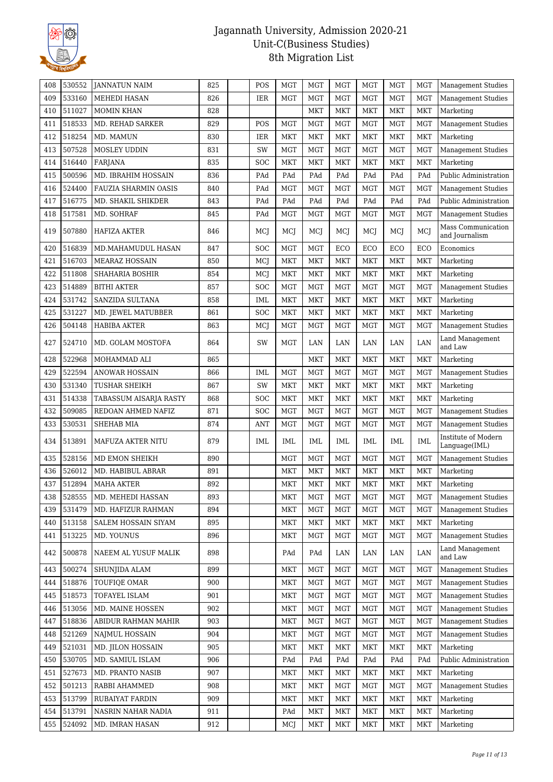

| 408 | 530552 | <b>JANNATUN NAIM</b>        | 825 | POS        | <b>MGT</b> | <b>MGT</b> | <b>MGT</b> | <b>MGT</b> | <b>MGT</b> | MGT        | <b>Management Studies</b>            |
|-----|--------|-----------------------------|-----|------------|------------|------------|------------|------------|------------|------------|--------------------------------------|
| 409 | 533160 | <b>MEHEDI HASAN</b>         | 826 | <b>IER</b> | <b>MGT</b> | <b>MGT</b> | <b>MGT</b> | <b>MGT</b> | <b>MGT</b> | <b>MGT</b> | <b>Management Studies</b>            |
| 410 | 511027 | <b>MOMIN KHAN</b>           | 828 |            |            | <b>MKT</b> | <b>MKT</b> | <b>MKT</b> | <b>MKT</b> | <b>MKT</b> | Marketing                            |
| 411 | 518533 | MD. REHAD SARKER            | 829 | POS        | <b>MGT</b> | <b>MGT</b> | <b>MGT</b> | <b>MGT</b> | <b>MGT</b> | MGT        | <b>Management Studies</b>            |
| 412 | 518254 | MD. MAMUN                   | 830 | IER        | <b>MKT</b> | <b>MKT</b> | <b>MKT</b> | <b>MKT</b> | <b>MKT</b> | <b>MKT</b> | Marketing                            |
| 413 | 507528 | <b>MOSLEY UDDIN</b>         | 831 | SW         | <b>MGT</b> | <b>MGT</b> | <b>MGT</b> | <b>MGT</b> | <b>MGT</b> | <b>MGT</b> | <b>Management Studies</b>            |
| 414 | 516440 | <b>FARJANA</b>              | 835 | <b>SOC</b> | <b>MKT</b> | <b>MKT</b> | <b>MKT</b> | <b>MKT</b> | <b>MKT</b> | MKT        | Marketing                            |
| 415 | 500596 | MD. IBRAHIM HOSSAIN         | 836 | PAd        | PAd        | PAd        | PAd        | PAd        | PAd        | PAd        | Public Administration                |
| 416 | 524400 | <b>FAUZIA SHARMIN OASIS</b> | 840 | PAd        | <b>MGT</b> | <b>MGT</b> | <b>MGT</b> | <b>MGT</b> | <b>MGT</b> | <b>MGT</b> | Management Studies                   |
| 417 | 516775 | MD. SHAKIL SHIKDER          | 843 | PAd        | PAd        | PAd        | PAd        | PAd        | PAd        | PAd        | Public Administration                |
| 418 | 517581 | MD. SOHRAF                  | 845 | PAd        | <b>MGT</b> | <b>MGT</b> | <b>MGT</b> | <b>MGT</b> | <b>MGT</b> | <b>MGT</b> | <b>Management Studies</b>            |
| 419 | 507880 | HAFIZA AKTER                | 846 | MCJ        | MCJ        | <b>MCJ</b> | MCJ        | MCJ        | MCJ        | MCJ        | Mass Communication<br>and Journalism |
| 420 | 516839 | MD.MAHAMUDUL HASAN          | 847 | SOC        | <b>MGT</b> | <b>MGT</b> | ECO        | ECO        | ECO        | ECO        | Economics                            |
| 421 | 516703 | <b>MEARAZ HOSSAIN</b>       | 850 | MCJ        | MKT        | <b>MKT</b> | <b>MKT</b> | <b>MKT</b> | <b>MKT</b> | <b>MKT</b> | Marketing                            |
| 422 | 511808 | SHAHARIA BOSHIR             | 854 | MCJ        | MKT        | <b>MKT</b> | <b>MKT</b> | <b>MKT</b> | <b>MKT</b> | <b>MKT</b> | Marketing                            |
| 423 | 514889 | <b>BITHI AKTER</b>          | 857 | SOC        | MGT        | <b>MGT</b> | <b>MGT</b> | <b>MGT</b> | <b>MGT</b> | <b>MGT</b> | <b>Management Studies</b>            |
| 424 | 531742 | SANZIDA SULTANA             | 858 | IML        | <b>MKT</b> | <b>MKT</b> | <b>MKT</b> | <b>MKT</b> | <b>MKT</b> | <b>MKT</b> | Marketing                            |
| 425 | 531227 | MD. JEWEL MATUBBER          | 861 | SOC        | MKT        | <b>MKT</b> | <b>MKT</b> | <b>MKT</b> | <b>MKT</b> | MKT        | Marketing                            |
| 426 | 504148 | <b>HABIBA AKTER</b>         | 863 | MCJ        | <b>MGT</b> | <b>MGT</b> | <b>MGT</b> | <b>MGT</b> | <b>MGT</b> | <b>MGT</b> | <b>Management Studies</b>            |
| 427 | 524710 | MD. GOLAM MOSTOFA           | 864 | SW         | <b>MGT</b> | LAN        | LAN        | LAN        | LAN        | LAN        | Land Management<br>and Law           |
| 428 | 522968 | MOHAMMAD ALI                | 865 |            |            | <b>MKT</b> | <b>MKT</b> | <b>MKT</b> | <b>MKT</b> | <b>MKT</b> | Marketing                            |
| 429 | 522594 | <b>ANOWAR HOSSAIN</b>       | 866 | <b>IML</b> | <b>MGT</b> | <b>MGT</b> | <b>MGT</b> | <b>MGT</b> | <b>MGT</b> | <b>MGT</b> | <b>Management Studies</b>            |
| 430 | 531340 | <b>TUSHAR SHEIKH</b>        | 867 | SW         | MKT        | <b>MKT</b> | <b>MKT</b> | <b>MKT</b> | <b>MKT</b> | <b>MKT</b> | Marketing                            |
| 431 | 514338 | TABASSUM AISARJA RASTY      | 868 | SOC        | MKT        | <b>MKT</b> | MKT        | <b>MKT</b> | <b>MKT</b> | <b>MKT</b> | Marketing                            |
| 432 | 509085 | REDOAN AHMED NAFIZ          | 871 | <b>SOC</b> | <b>MGT</b> | <b>MGT</b> | <b>MGT</b> | <b>MGT</b> | <b>MGT</b> | <b>MGT</b> | <b>Management Studies</b>            |
| 433 | 530531 | SHEHAB MIA                  | 874 | <b>ANT</b> | <b>MGT</b> | <b>MGT</b> | <b>MGT</b> | <b>MGT</b> | <b>MGT</b> | <b>MGT</b> | Management Studies                   |
| 434 | 513891 | MAFUZA AKTER NITU           | 879 | IML        | <b>IML</b> | <b>IML</b> | <b>IML</b> | IML        | IML        | <b>IML</b> | Institute of Modern<br>Language(IML) |
| 435 | 528156 | MD EMON SHEIKH              | 890 |            | <b>MGT</b> | <b>MGT</b> | <b>MGT</b> | <b>MGT</b> | <b>MGT</b> | <b>MGT</b> | <b>Management Studies</b>            |
| 436 | 526012 | MD. HABIBUL ABRAR           | 891 |            | MKT        | <b>MKT</b> | <b>MKT</b> | <b>MKT</b> | <b>MKT</b> | <b>MKT</b> | Marketing                            |
| 437 | 512894 | <b>MAHA AKTER</b>           | 892 |            | MKT        | MKT        | MKT        | <b>MKT</b> | <b>MKT</b> | MKT        | Marketing                            |
| 438 | 528555 | MD. MEHEDI HASSAN           | 893 |            | MKT        | <b>MGT</b> | <b>MGT</b> | <b>MGT</b> | <b>MGT</b> | MGT        | Management Studies                   |
| 439 | 531479 | MD. HAFIZUR RAHMAN          | 894 |            | <b>MKT</b> | <b>MGT</b> | <b>MGT</b> | <b>MGT</b> | MGT        | MGT        | <b>Management Studies</b>            |
| 440 | 513158 | SALEM HOSSAIN SIYAM         | 895 |            | <b>MKT</b> | MKT        | <b>MKT</b> | MKT        | <b>MKT</b> | <b>MKT</b> | Marketing                            |
| 441 | 513225 | MD. YOUNUS                  | 896 |            | <b>MKT</b> | <b>MGT</b> | <b>MGT</b> | <b>MGT</b> | <b>MGT</b> | <b>MGT</b> | <b>Management Studies</b>            |
| 442 | 500878 | NAEEM AL YUSUF MALIK        | 898 |            | PAd        | PAd        | LAN        | LAN        | LAN        | LAN        | Land Management<br>and Law           |
| 443 | 500274 | SHUNJIDA ALAM               | 899 |            | MKT        | <b>MGT</b> | <b>MGT</b> | <b>MGT</b> | <b>MGT</b> | <b>MGT</b> | Management Studies                   |
| 444 | 518876 | TOUFIOE OMAR                | 900 |            | <b>MKT</b> | <b>MGT</b> | <b>MGT</b> | <b>MGT</b> | MGT        | <b>MGT</b> | <b>Management Studies</b>            |
| 445 | 518573 | TOFAYEL ISLAM               | 901 |            | <b>MKT</b> | <b>MGT</b> | <b>MGT</b> | <b>MGT</b> | <b>MGT</b> | <b>MGT</b> | <b>Management Studies</b>            |
| 446 | 513056 | MD. MAINE HOSSEN            | 902 |            | <b>MKT</b> | <b>MGT</b> | <b>MGT</b> | <b>MGT</b> | <b>MGT</b> | <b>MGT</b> | <b>Management Studies</b>            |
| 447 | 518836 | ABIDUR RAHMAN MAHIR         | 903 |            | <b>MKT</b> | <b>MGT</b> | <b>MGT</b> | <b>MGT</b> | <b>MGT</b> | <b>MGT</b> | <b>Management Studies</b>            |
| 448 | 521269 | <b>NAJMUL HOSSAIN</b>       | 904 |            | <b>MKT</b> | <b>MGT</b> | <b>MGT</b> | <b>MGT</b> | <b>MGT</b> | MGT        | <b>Management Studies</b>            |
| 449 | 521031 | MD. JILON HOSSAIN           | 905 |            | <b>MKT</b> | <b>MKT</b> | <b>MKT</b> | <b>MKT</b> | <b>MKT</b> | <b>MKT</b> | Marketing                            |
| 450 | 530705 | MD. SAMIUL ISLAM            | 906 |            | PAd        | PAd        | PAd        | PAd        | PAd        | PAd        | Public Administration                |
| 451 | 527673 | MD. PRANTO NASIB            | 907 |            | <b>MKT</b> | <b>MKT</b> | <b>MKT</b> | <b>MKT</b> | <b>MKT</b> | MKT        | Marketing                            |
| 452 | 501213 | RABBI AHAMMED               | 908 |            | <b>MKT</b> | <b>MKT</b> | <b>MGT</b> | <b>MGT</b> | <b>MGT</b> | MGT        | Management Studies                   |
| 453 | 513799 | RUBAIYAT FARDIN             | 909 |            | <b>MKT</b> | <b>MKT</b> | <b>MKT</b> | <b>MKT</b> | <b>MKT</b> | <b>MKT</b> | Marketing                            |
| 454 | 513791 | NASRIN NAHAR NADIA          | 911 |            | PAd        | <b>MKT</b> | <b>MKT</b> | <b>MKT</b> | <b>MKT</b> | <b>MKT</b> | Marketing                            |
| 455 | 524092 | MD. IMRAN HASAN             | 912 |            | MCJ        | <b>MKT</b> | <b>MKT</b> | MKT        | MKT        | MKT        | Marketing                            |
|     |        |                             |     |            |            |            |            |            |            |            |                                      |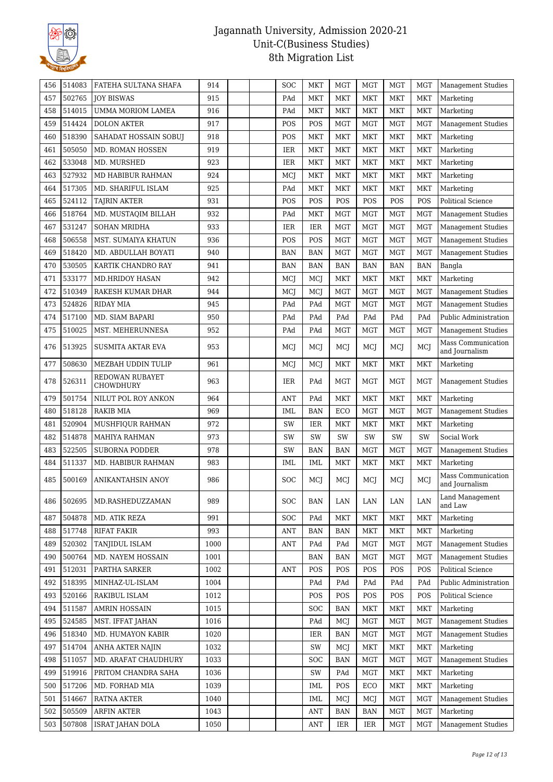

| 456 | 514083           | FATEHA SULTANA SHAFA                | 914          | <b>SOC</b> | MKT                      | <b>MGT</b>               | <b>MGT</b> | <b>MGT</b>               | <b>MGT</b> | <b>Management Studies</b>              |
|-----|------------------|-------------------------------------|--------------|------------|--------------------------|--------------------------|------------|--------------------------|------------|----------------------------------------|
| 457 | 502765           | <b>JOY BISWAS</b>                   | 915          | PAd        | MKT                      | MKT                      | <b>MKT</b> | <b>MKT</b>               | <b>MKT</b> | Marketing                              |
| 458 | 514015           | <b>UMMA MORIOM LAMEA</b>            | 916          | PAd        | <b>MKT</b>               | MKT                      | <b>MKT</b> | MKT                      | <b>MKT</b> | Marketing                              |
| 459 | 514424           | <b>DOLON AKTER</b>                  | 917          | POS        | POS                      | <b>MGT</b>               | <b>MGT</b> | <b>MGT</b>               | <b>MGT</b> | <b>Management Studies</b>              |
| 460 | 518390           | SAHADAT HOSSAIN SOBUJ               | 918          | POS        | <b>MKT</b>               | MKT                      | <b>MKT</b> | <b>MKT</b>               | <b>MKT</b> | Marketing                              |
| 461 | 505050           | MD. ROMAN HOSSEN                    | 919          | IER        | <b>MKT</b>               | MKT                      | <b>MKT</b> | MKT                      | <b>MKT</b> | Marketing                              |
| 462 | 533048           | MD. MURSHED                         | 923          | IER        | <b>MKT</b>               | <b>MKT</b>               | <b>MKT</b> | <b>MKT</b>               | <b>MKT</b> | Marketing                              |
| 463 | 527932           | MD HABIBUR RAHMAN                   | 924          | <b>MCJ</b> | <b>MKT</b>               | <b>MKT</b>               | <b>MKT</b> | MKT                      | <b>MKT</b> | Marketing                              |
| 464 | 517305           | MD. SHARIFUL ISLAM                  | 925          | PAd        | <b>MKT</b>               | MKT                      | <b>MKT</b> | <b>MKT</b>               | <b>MKT</b> | Marketing                              |
| 465 | 524112           | <b>TAJRIN AKTER</b>                 | 931          | POS        | POS                      | POS                      | POS        | POS                      | POS        | <b>Political Science</b>               |
| 466 | 518764           | MD. MUSTAQIM BILLAH                 | 932          | PAd        | <b>MKT</b>               | <b>MGT</b>               | <b>MGT</b> | <b>MGT</b>               | <b>MGT</b> | <b>Management Studies</b>              |
| 467 | 531247           | <b>SOHAN MRIDHA</b>                 | 933          | <b>IER</b> | IER                      | <b>MGT</b>               | <b>MGT</b> | <b>MGT</b>               | <b>MGT</b> | <b>Management Studies</b>              |
| 468 | 506558           | MST. SUMAIYA KHATUN                 | 936          | POS        | POS                      | <b>MGT</b>               | <b>MGT</b> | <b>MGT</b>               | <b>MGT</b> | Management Studies                     |
| 469 | 518420           | MD. ABDULLAH BOYATI                 | 940          | <b>BAN</b> | <b>BAN</b>               | <b>MGT</b>               | <b>MGT</b> | <b>MGT</b>               | <b>MGT</b> | <b>Management Studies</b>              |
| 470 | 530505           | KARTIK CHANDRO RAY                  | 941          | <b>BAN</b> | <b>BAN</b>               | <b>BAN</b>               | <b>BAN</b> | <b>BAN</b>               | <b>BAN</b> | Bangla                                 |
| 471 | 533177           | <b>MD.HRIDOY HASAN</b>              | 942          | MCJ        | MCJ                      | <b>MKT</b>               | <b>MKT</b> | MKT                      | <b>MKT</b> | Marketing                              |
| 472 | 510349           | RAKESH KUMAR DHAR                   | 944          | MCJ        | MCJ                      | <b>MGT</b>               | <b>MGT</b> | <b>MGT</b>               | <b>MGT</b> | <b>Management Studies</b>              |
| 473 | 524826           | <b>RIDAY MIA</b>                    | 945          | PAd        | PAd                      | <b>MGT</b>               | <b>MGT</b> | <b>MGT</b>               | <b>MGT</b> | <b>Management Studies</b>              |
| 474 | 517100           | MD. SIAM BAPARI                     | 950          | PAd        | PAd                      | PAd                      | PAd        | PAd                      | PAd        | Public Administration                  |
| 475 | 510025           | MST. MEHERUNNESA                    | 952          | PAd        | PAd                      | MGT                      | <b>MGT</b> | <b>MGT</b>               | <b>MGT</b> | <b>Management Studies</b>              |
| 476 | 513925           | <b>SUSMITA AKTAR EVA</b>            | 953          | MCJ        | MCJ                      | MCJ                      | MCJ        | MCI                      | MCJ        | Mass Communication<br>and Journalism   |
| 477 | 508630           | MEZBAH UDDIN TULIP                  | 961          | MCJ        | MCJ                      | MKT                      | <b>MKT</b> | MKT                      | <b>MKT</b> | Marketing                              |
| 478 | 526311           | REDOWAN RUBAYET<br><b>CHOWDHURY</b> | 963          | IER        | PAd                      | <b>MGT</b>               | <b>MGT</b> | <b>MGT</b>               | <b>MGT</b> | <b>Management Studies</b>              |
| 479 | 501754           | NILUT POL ROY ANKON                 | 964          | <b>ANT</b> | PAd                      | <b>MKT</b>               | <b>MKT</b> | <b>MKT</b>               | <b>MKT</b> | Marketing                              |
| 480 | 518128           | RAKIB MIA                           | 969          | IML        | <b>BAN</b>               | ECO                      | <b>MGT</b> | <b>MGT</b>               | <b>MGT</b> | <b>Management Studies</b>              |
| 481 | 520904           | MUSHFIQUR RAHMAN                    | 972          | SW         | IER                      | MKT                      | <b>MKT</b> | <b>MKT</b>               | <b>MKT</b> | Marketing                              |
| 482 | 514878           | <b>MAHIYA RAHMAN</b>                | 973          | SW         | SW                       | SW                       | SW         | SW                       | SW         | Social Work                            |
| 483 | 522505           | <b>SUBORNA PODDER</b>               | 978          | SW         | <b>BAN</b>               | <b>BAN</b>               | <b>MGT</b> | <b>MGT</b>               | <b>MGT</b> | Management Studies                     |
| 484 | 511337           | MD. HABIBUR RAHMAN                  | 983          | IML        | IML                      | MKT                      | <b>MKT</b> | <b>MKT</b>               | <b>MKT</b> | Marketing                              |
| 485 | 500169           | ANIKANTAHSIN ANOY                   | 986          | <b>SOC</b> | MCJ                      | MCJ                      | MCJ        | MCJ                      | MCJ        | Mass Communication<br>and Journalism   |
| 486 | 502695           | MD.RASHEDUZZAMAN                    | 989          | SOC        | <b>BAN</b>               | LAN                      | LAN        | LAN                      | LAN        | Land Management<br>and Law             |
| 487 | 504878           | MD. ATIK REZA                       | 991          | <b>SOC</b> | PAd                      | MKT                      | MKT        | MKT                      | <b>MKT</b> | Marketing                              |
| 488 | 517748           | <b>RIFAT FAKIR</b>                  | 993          | <b>ANT</b> | <b>BAN</b>               | <b>BAN</b>               | <b>MKT</b> | <b>MKT</b>               | <b>MKT</b> | Marketing                              |
| 489 | 520302           | TANJIDUL ISLAM                      | 1000         | <b>ANT</b> | PAd                      | PAd                      | <b>MGT</b> | <b>MGT</b>               | <b>MGT</b> | <b>Management Studies</b>              |
| 490 | 500764           | MD. NAYEM HOSSAIN                   | 1001         |            | BAN                      | <b>BAN</b>               | <b>MGT</b> | <b>MGT</b>               | <b>MGT</b> | <b>Management Studies</b>              |
| 491 | 512031           | PARTHA SARKER                       | 1002         | ANT        | POS                      | POS                      | POS        | POS                      | POS        | Political Science                      |
| 492 | 518395           | MINHAZ-UL-ISLAM                     | 1004         |            | PAd                      | PAd                      | PAd        | PAd                      | PAd        | Public Administration                  |
| 493 | 520166           | RAKIBUL ISLAM                       | 1012         |            | POS                      | POS                      | POS        | POS                      | POS        | Political Science                      |
| 494 | 511587           | <b>AMRIN HOSSAIN</b>                | 1015         |            | <b>SOC</b>               | <b>BAN</b>               | <b>MKT</b> | <b>MKT</b>               | <b>MKT</b> | Marketing                              |
| 495 | 524585           | MST. IFFAT JAHAN                    | 1016         |            | PAd                      | MCJ                      | <b>MGT</b> | <b>MGT</b>               | <b>MGT</b> | <b>Management Studies</b>              |
| 496 | 518340           | MD. HUMAYON KABIR                   | 1020         |            | IER                      | <b>BAN</b>               | <b>MGT</b> | <b>MGT</b>               | <b>MGT</b> | <b>Management Studies</b>              |
| 497 | 514704           | ANHA AKTER NAJIN                    | 1032         |            | SW                       | MCJ                      | <b>MKT</b> | <b>MKT</b>               | <b>MKT</b> | Marketing                              |
| 498 | 511057           | MD. ARAFAT CHAUDHURY                | 1033         |            | <b>SOC</b>               | <b>BAN</b>               | <b>MGT</b> | <b>MGT</b>               | <b>MGT</b> | Management Studies                     |
| 499 | 519916           | PRITOM CHANDRA SAHA                 | 1036         |            | SW                       | PAd                      | <b>MGT</b> | <b>MKT</b>               | <b>MKT</b> | Marketing                              |
| 500 | 517206           | MD. FORHAD MIA                      | 1039         |            | IML                      | POS                      | ECO        | <b>MKT</b>               | <b>MKT</b> | Marketing                              |
|     |                  | RATNA AKTER                         |              |            | IML                      | MCJ                      | MCJ        | <b>MGT</b>               | <b>MGT</b> | <b>Management Studies</b>              |
| 501 | 514667           |                                     | 1040         |            |                          |                          |            |                          |            |                                        |
| 502 | 505509<br>507808 | ARFIN AKTER                         | 1043<br>1050 |            | <b>ANT</b><br><b>ANT</b> | <b>BAN</b><br><b>IER</b> | <b>BAN</b> | <b>MGT</b><br><b>MGT</b> | <b>MGT</b> | Marketing<br><b>Management Studies</b> |